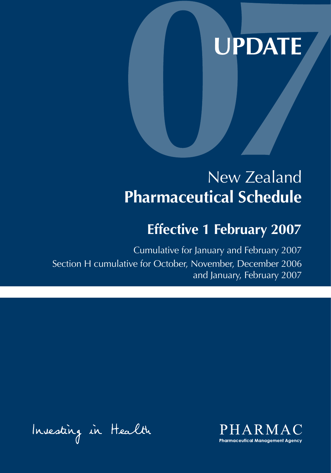# **UPDATE**

## New Zealand **Pharmaceutical Schedule**

## **Effective 1 February 2007**

Cumulative for January and February 2007 Section H cumulative for October, November, December 2006 and January, February 2007

Investing in Health

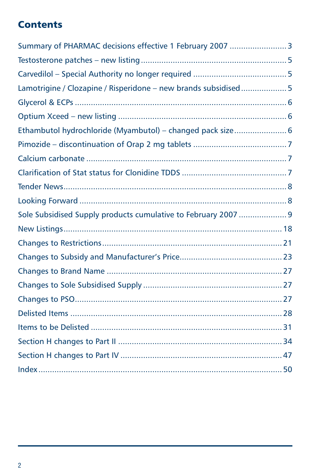## **Contents**

| Summary of PHARMAC decisions effective 1 February 2007  3       |  |
|-----------------------------------------------------------------|--|
|                                                                 |  |
|                                                                 |  |
| Lamotrigine / Clozapine / Risperidone - new brands subsidised 5 |  |
|                                                                 |  |
|                                                                 |  |
| Ethambutol hydrochloride (Myambutol) - changed pack size 6      |  |
|                                                                 |  |
|                                                                 |  |
|                                                                 |  |
|                                                                 |  |
|                                                                 |  |
|                                                                 |  |
|                                                                 |  |
|                                                                 |  |
|                                                                 |  |
|                                                                 |  |
|                                                                 |  |
|                                                                 |  |
|                                                                 |  |
|                                                                 |  |
|                                                                 |  |
|                                                                 |  |
|                                                                 |  |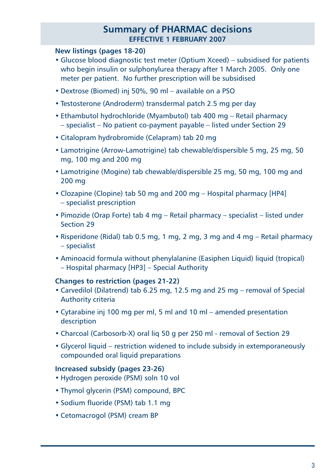#### **Summary of PHARMAC decisions effective 1 FEBRUARY 2007**

#### **New listings (pages 18-20)**

- Glucose blood diagnostic test meter (Optium Xceed) subsidised for patients who begin insulin or sulphonylurea therapy after 1 March 2005. Only one meter per patient. No further prescription will be subsidised
- Dextrose (Biomed) inj 50%, 90 ml available on a PSO
- Testosterone (Androderm) transdermal patch 2.5 mg per day
- Ethambutol hydrochloride (Myambutol) tab 400 mg Retail pharmacy – specialist – No patient co-payment payable – listed under Section 29
- Citalopram hydrobromide (Celapram) tab 20 mg
- Lamotrigine (Arrow-Lamotrigine) tab chewable/dispersible 5 mg, 25 mg, 50 mg, 100 mg and 200 mg
- Lamotrigine (Mogine) tab chewable/dispersible 25 mg, 50 mg, 100 mg and 200 mg
- Clozapine (Clopine) tab 50 mg and 200 mg Hospital pharmacy [HP4] – specialist prescription
- Pimozide (Orap Forte) tab 4 mg Retail pharmacy specialist listed under Section 29
- Risperidone (Ridal) tab 0.5 mg, 1 mg, 2 mg, 3 mg and 4 mg Retail pharmacy – specialist
- Aminoacid formula without phenylalanine (Easiphen Liquid) liquid (tropical) – Hospital pharmacy [HP3] – Special Authority

#### **Changes to restriction (pages 21-22)**

- Carvedilol (Dilatrend) tab 6.25 mg, 12.5 mg and 25 mg removal of Special Authority criteria
- Cytarabine inj 100 mg per ml, 5 ml and 10 ml amended presentation description
- Charcoal (Carbosorb-X) oral liq 50 g per 250 ml removal of Section 29
- Glycerol liquid restriction widened to include subsidy in extemporaneously compounded oral liquid preparations

#### **Increased subsidy (pages 23-26)**

- Hydrogen peroxide (PSM) soln 10 vol
- Thymol glycerin (PSM) compound, BPC
- Sodium fluoride (PSM) tab 1.1 mg
- Cetomacrogol (PSM) cream BP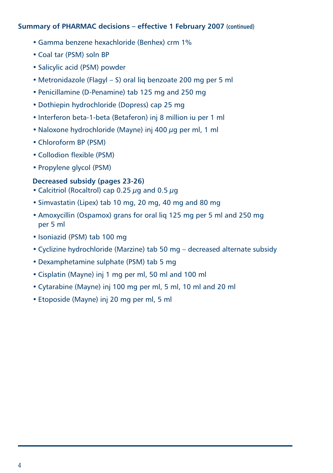#### **Summary of PHARMAC decisions – effective 1 February 2007 (continued)**

- Gamma benzene hexachloride (Benhex) crm 1%
- Coal tar (PSM) soln BP
- Salicylic acid (PSM) powder
- Metronidazole (Flagyl S) oral liq benzoate 200 mg per 5 ml
- Penicillamine (D-Penamine) tab 125 mg and 250 mg
- Dothiepin hydrochloride (Dopress) cap 25 mg
- Interferon beta-1-beta (Betaferon) inj 8 million iu per 1 ml
- Naloxone hydrochloride (Mayne) inj 400 µg per ml, 1 ml
- Chloroform BP (PSM)
- Collodion flexible (PSM)
- Propylene glycol (PSM)

#### **Decreased subsidy (pages 23-26)**

- Calcitriol (Rocaltrol) cap 0.25 ug and 0.5 ug
- Simvastatin (Lipex) tab 10 mg, 20 mg, 40 mg and 80 mg
- Amoxycillin (Ospamox) grans for oral liq 125 mg per 5 ml and 250 mg per 5 ml
- Isoniazid (PSM) tab 100 mg
- Cyclizine hydrochloride (Marzine) tab 50 mg decreased alternate subsidy
- Dexamphetamine sulphate (PSM) tab 5 mg
- Cisplatin (Mayne) inj 1 mg per ml, 50 ml and 100 ml
- Cytarabine (Mayne) inj 100 mg per ml, 5 ml, 10 ml and 20 ml
- Etoposide (Mayne) inj 20 mg per ml, 5 ml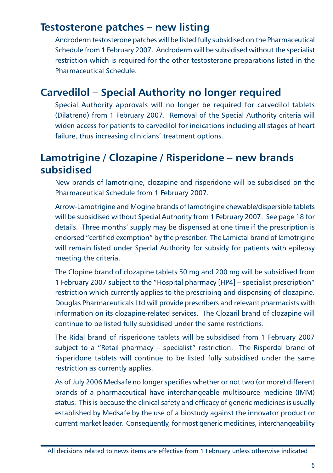## **Testosterone patches – new listing**

Androderm testosterone patches will be listed fully subsidised on the Pharmaceutical Schedule from 1 February 2007. Androderm will be subsidised without the specialist restriction which is required for the other testosterone preparations listed in the Pharmaceutical Schedule.

## **Carvedilol – Special Authority no longer required**

Special Authority approvals will no longer be required for carvedilol tablets (Dilatrend) from 1 February 2007. Removal of the Special Authority criteria will widen access for patients to carvedilol for indications including all stages of heart failure, thus increasing clinicians' treatment options.

## **Lamotrigine / Clozapine / Risperidone – new brands subsidised**

New brands of lamotrigine, clozapine and risperidone will be subsidised on the Pharmaceutical Schedule from 1 February 2007.

Arrow-Lamotrigine and Mogine brands of lamotrigine chewable/dispersible tablets will be subsidised without Special Authority from 1 February 2007. See page 18 for details. Three months' supply may be dispensed at one time if the prescription is endorsed "certified exemption" by the prescriber. The Lamictal brand of lamotrigine will remain listed under Special Authority for subsidy for patients with epilepsy meeting the criteria.

The Clopine brand of clozapine tablets 50 mg and 200 mg will be subsidised from 1 February 2007 subject to the "Hospital pharmacy [HP4] – specialist prescription" restriction which currently applies to the prescribing and dispensing of clozapine. Douglas Pharmaceuticals Ltd will provide prescribers and relevant pharmacists with information on its clozapine-related services. The Clozaril brand of clozapine will continue to be listed fully subsidised under the same restrictions.

The Ridal brand of risperidone tablets will be subsidised from 1 February 2007 subject to a "Retail pharmacy – specialist" restriction. The Risperdal brand of risperidone tablets will continue to be listed fully subsidised under the same restriction as currently applies.

As of July 2006 Medsafe no longer specifies whether or not two (or more) different brands of a pharmaceutical have interchangeable multisource medicine (IMM) status. This is because the clinical safety and efficacy of generic medicines is usually established by Medsafe by the use of a biostudy against the innovator product or current market leader. Consequently, for most generic medicines, interchangeability

All decisions related to news items are effective from 1 February unless otherwise indicated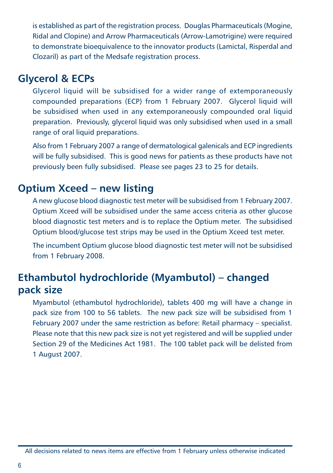is established as part of the registration process. Douglas Pharmaceuticals (Mogine, Ridal and Clopine) and Arrow Pharmaceuticals (Arrow-Lamotrigine) were required to demonstrate bioequivalence to the innovator products (Lamictal, Risperdal and Clozaril) as part of the Medsafe registration process.

### **Glycerol & ECPs**

Glycerol liquid will be subsidised for a wider range of extemporaneously compounded preparations (ECP) from 1 February 2007. Glycerol liquid will be subsidised when used in any extemporaneously compounded oral liquid preparation. Previously, glycerol liquid was only subsidised when used in a small range of oral liquid preparations.

Also from 1 February 2007 a range of dermatological galenicals and ECP ingredients will be fully subsidised. This is good news for patients as these products have not previously been fully subsidised. Please see pages 23 to 25 for details.

### **Optium Xceed – new listing**

A new glucose blood diagnostic test meter will be subsidised from 1 February 2007. Optium Xceed will be subsidised under the same access criteria as other glucose blood diagnostic test meters and is to replace the Optium meter. The subsidised Optium blood/glucose test strips may be used in the Optium Xceed test meter.

The incumbent Optium glucose blood diagnostic test meter will not be subsidised from 1 February 2008.

## **Ethambutol hydrochloride (Myambutol) – changed pack size**

Myambutol (ethambutol hydrochloride), tablets 400 mg will have a change in pack size from 100 to 56 tablets. The new pack size will be subsidised from 1 February 2007 under the same restriction as before: Retail pharmacy – specialist. Please note that this new pack size is not yet registered and will be supplied under Section 29 of the Medicines Act 1981. The 100 tablet pack will be delisted from 1 August 2007.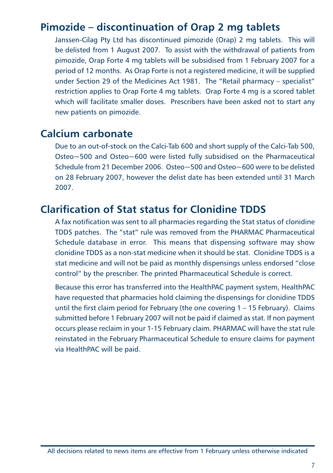## **Pimozide – discontinuation of Orap 2 mg tablets**

Janssen-Cilag Pty Ltd has discontinued pimozide (Orap) 2 mg tablets. This will be delisted from 1 August 2007. To assist with the withdrawal of patients from pimozide, Orap Forte 4 mg tablets will be subsidised from 1 February 2007 for a period of 12 months. As Orap Forte is not a registered medicine, it will be supplied under Section 29 of the Medicines Act 1981. The "Retail pharmacy – specialist" restriction applies to Orap Forte 4 mg tablets. Orap Forte 4 mg is a scored tablet which will facilitate smaller doses. Prescribers have been asked not to start any new patients on pimozide.

### **Calcium carbonate**

Due to an out-of-stock on the Calci-Tab 600 and short supply of the Calci-Tab 500, Osteo~500 and Osteo~600 were listed fully subsidised on the Pharmaceutical Schedule from 21 December 2006. Osteo~500 and Osteo~600 were to be delisted on 28 February 2007, however the delist date has been extended until 31 March 2007.

### **Clarification of Stat status for Clonidine TDDS**

A fax notification was sent to all pharmacies regarding the Stat status of clonidine TDDS patches. The "stat" rule was removed from the PHARMAC Pharmaceutical Schedule database in error. This means that dispensing software may show clonidine TDDS as a non-stat medicine when it should be stat. Clonidine TDDS is a stat medicine and will not be paid as monthly dispensings unless endorsed "close control" by the prescriber. The printed Pharmaceutical Schedule is correct.

Because this error has transferred into the HealthPAC payment system, HealthPAC have requested that pharmacies hold claiming the dispensings for clonidine TDDS until the first claim period for February (the one covering 1 – 15 February). Claims submitted before 1 February 2007 will not be paid if claimed as stat. If non payment occurs please reclaim in your 1-15 February claim. PHARMAC will have the stat rule reinstated in the February Pharmaceutical Schedule to ensure claims for payment via HealthPAC will be paid.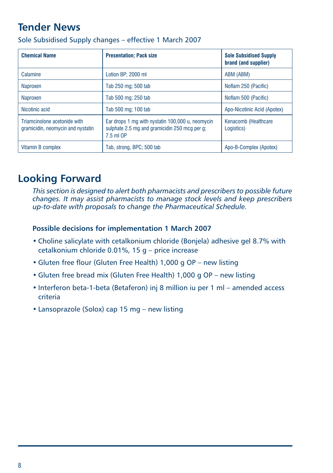## **Tender News**

| <b>Chemical Name</b>                                              | <b>Presentation: Pack size</b>                                                                                 | <b>Sole Subsidised Supply</b><br>brand (and supplier) |
|-------------------------------------------------------------------|----------------------------------------------------------------------------------------------------------------|-------------------------------------------------------|
| Calamine                                                          | Lotion BP: 2000 ml                                                                                             | ABM (ABM)                                             |
| Naproxen                                                          | Tab 250 mg; 500 tab                                                                                            | Noflam 250 (Pacific)                                  |
| Naproxen                                                          | Tab 500 mg; 250 tab                                                                                            | Noflam 500 (Pacific)                                  |
| Nicotinic acid                                                    | Tab 500 mg: 100 tab                                                                                            | Apo-Nicotinic Acid (Apotex)                           |
| Triamcinolone acetonide with<br>gramicidin, neomycin and nystatin | Ear drops 1 mg with nystatin 100,000 u, neomycin<br>sulphate 2.5 mg and gramicidin 250 mcg per g;<br>7.5 ml OP | Kenacomb (Healthcare<br>Logistics)                    |
| Vitamin B complex                                                 | Tab, strong, BPC; 500 tab                                                                                      | Apo-B-Complex (Apotex)                                |

Sole Subsidised Supply changes – effective 1 March 2007

## **Looking Forward**

*This section is designed to alert both pharmacists and prescribers to possible future changes. It may assist pharmacists to manage stock levels and keep prescribers up-to-date with proposals to change the Pharmaceutical Schedule.*

#### **Possible decisions for implementation 1 March 2007**

- Choline salicylate with cetalkonium chloride (Bonjela) adhesive gel 8.7% with cetalkonium chloride 0.01%, 15 g – price increase
- Gluten free flour (Gluten Free Health) 1,000 g OP new listing
- Gluten free bread mix (Gluten Free Health) 1,000 g OP new listing
- Interferon beta-1-beta (Betaferon) inj 8 million iu per 1 ml amended access criteria
- Lansoprazole (Solox) cap 15 mg new listing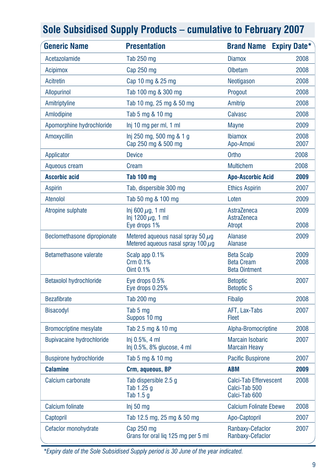| <b>Generic Name</b>              | <b>Presentation</b>                                                               | <b>Brand Name</b>                                               | <b>Expiry Date*</b> |
|----------------------------------|-----------------------------------------------------------------------------------|-----------------------------------------------------------------|---------------------|
| Acetazolamide                    | <b>Tab 250 mg</b>                                                                 | <b>Diamox</b>                                                   | 2008                |
| <b>Acipimox</b>                  | Cap 250 mg                                                                        | Olbetam                                                         | 2008                |
| Acitretin                        | Cap 10 mg & 25 mg                                                                 | Neotigason                                                      | 2008                |
| <b>Allopurinol</b>               | Tab 100 mg & 300 mg                                                               | Progout                                                         | 2008                |
| Amitriptyline                    | Tab 10 mg, 25 mg & 50 mg                                                          | Amitrip                                                         | 2008                |
| Amlodipine                       | Tab 5 mg & 10 mg                                                                  | Calvasc                                                         | 2008                |
| Apomorphine hydrochloride        | Inj 10 mg per ml, 1 ml                                                            | <b>Mayne</b>                                                    | 2009                |
| Amoxycillin                      | lnj 250 mg, 500 mg & 1 g<br>Cap 250 mg & 500 mg                                   | <b>Ibiamox</b><br>Apo-Amoxi                                     | 2008<br>2007        |
| Applicator                       | <b>Device</b>                                                                     | Ortho                                                           | 2008                |
| Aqueous cream                    | Cream                                                                             | <b>Multichem</b>                                                | 2008                |
| <b>Ascorbic acid</b>             | Tab 100 mg                                                                        | <b>Apo-Ascorbic Acid</b>                                        | 2009                |
| <b>Aspirin</b>                   | Tab, dispersible 300 mg                                                           | <b>Ethics Aspirin</b>                                           | 2007                |
| Atenolol                         | Tab 50 mg & 100 mg                                                                | Loten                                                           | 2009                |
| Atropine sulphate                | Inj 600 $\mu$ g, 1 ml<br>Inj 1200 $\mu$ g, 1 ml<br>Eye drops 1%                   | AstraZeneca<br>AstraZeneca<br>Atropt                            | 2009<br>2008        |
| Beclomethasone dipropionate      | Metered aqueous nasal spray 50 $\mu$ g<br>Metered aqueous nasal spray 100 $\mu$ q | <b>Alanase</b><br><b>Alanase</b>                                | 2009                |
| Betamethasone valerate           | Scalp app 0.1%<br>Crm 0.1%<br>Oint 0.1%                                           | <b>Beta Scalp</b><br><b>Beta Cream</b><br><b>Beta Ointment</b>  | 2009<br>2008        |
| Betaxolol hydrochloride          | Eye drops 0.5%<br>Eye drops 0.25%                                                 | <b>Betoptic</b><br><b>Betoptic S</b>                            | 2007                |
| <b>Bezafibrate</b>               | Tab 200 mg                                                                        | <b>Fibalip</b>                                                  | 2008                |
| <b>Bisacodyl</b>                 | Tab 5 mg<br>Suppos 10 mg                                                          | AFT, Lax-Tabs<br><b>Fleet</b>                                   | 2007                |
| <b>Bromocriptine mesylate</b>    | Tab 2.5 mg & 10 mg                                                                | Alpha-Bromocriptine                                             | 2008                |
| <b>Bupivacaine hydrochloride</b> | $Inj 0.5%$ , 4 ml<br>Inj 0.5%, 8% glucose, 4 ml                                   | <b>Marcain Isobaric</b><br><b>Marcain Heavy</b>                 | 2007                |
| <b>Buspirone hydrochloride</b>   | Tab 5 mg & 10 mg                                                                  | <b>Pacific Buspirone</b>                                        | 2007                |
| <b>Calamine</b>                  | Crm, aqueous, BP                                                                  | <b>ABM</b>                                                      | 2009                |
| Calcium carbonate                | Tab dispersible 2.5 q<br>Tab 1.25 g<br>Tab 1.5 g                                  | <b>Calci-Tab Effervescent</b><br>Calci-Tab 500<br>Calci-Tab 600 | 2008                |
| <b>Calcium folinate</b>          | Inj 50 mg                                                                         | <b>Calcium Folinate Ebewe</b>                                   | 2008                |
| Captopril                        | Tab 12.5 mg, 25 mg & 50 mg                                                        | Apo-Captopril                                                   | 2007                |
| Cefaclor monohydrate             | Cap 250 mg<br>Grans for oral lig 125 mg per 5 ml                                  | Ranbaxy-Cefaclor<br>Ranbaxy-Cefaclor                            | 2007                |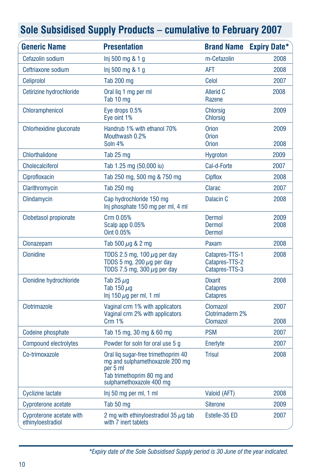| <b>Generic Name</b>                           | <b>Presentation</b>                                                                                                                          |                                                      | <b>Brand Name Expiry Date*</b> |
|-----------------------------------------------|----------------------------------------------------------------------------------------------------------------------------------------------|------------------------------------------------------|--------------------------------|
| Cefazolin sodium                              | $Inj 500$ mg $& 1 q$                                                                                                                         | m-Cefazolin                                          | 2008                           |
| Ceftriaxone sodium                            | Inj 500 mg & 1 g                                                                                                                             | AFT                                                  | 2008                           |
| Celiprolol                                    | <b>Tab 200 mg</b>                                                                                                                            | Celol                                                | 2007                           |
| Cetirizine hydrochloride                      | Oral lig 1 mg per ml<br>Tab 10 mg                                                                                                            | <b>Allerid C</b><br>Razene                           | 2008                           |
| Chloramphenicol                               | Eve drops 0.5%<br>Eye oint 1%                                                                                                                | <b>Chlorsig</b><br><b>Chlorsig</b>                   | 2009                           |
| Chlorhexidine gluconate                       | Handrub 1% with ethanol 70%<br>Mouthwash 0.2%<br>Soln 4%                                                                                     | <b>Orion</b><br><b>Orion</b><br><b>Orion</b>         | 2009<br>2008                   |
| <b>Chlorthalidone</b>                         | Tab 25 mg                                                                                                                                    | <b>Hygroton</b>                                      | 2009                           |
| <b>Cholecalciferol</b>                        | Tab 1.25 mg (50,000 iu)                                                                                                                      | Cal-d-Forte                                          | 2007                           |
| Ciprofloxacin                                 | Tab 250 mg, 500 mg & 750 mg                                                                                                                  | <b>Cipflox</b>                                       | 2008                           |
| Clarithromycin                                | Tab 250 mg                                                                                                                                   | Clarac                                               | 2007                           |
| Clindamycin                                   | Cap hydrochloride 150 mg<br>Inj phosphate 150 mg per ml, 4 ml                                                                                | Dalacin <sub>C</sub>                                 | 2008                           |
| Clobetasol propionate                         | Crm 0.05%<br>Scalp app 0.05%<br>Oint 0.05%                                                                                                   | Dermol<br><b>Dermol</b><br><b>Dermol</b>             | 2009<br>2008                   |
| Clonazepam                                    | Tab 500 $\mu$ g & 2 mg                                                                                                                       | Paxam                                                | 2008                           |
| Clonidine                                     | TDDS 2.5 mg, 100 $\mu$ g per day<br>TDDS 5 mg, 200 $\mu$ g per day<br>TDDS 7.5 mg, 300 $\mu$ g per day                                       | Catapres-TTS-1<br>Catapres-TTS-2<br>Catapres-TTS-3   | 2008                           |
| Clonidine hydrochloride                       | Tab 25 $\mu$ g<br>Tab 150 µg<br>Inj 150 $\mu$ g per ml, 1 ml                                                                                 | <b>Dixarit</b><br><b>Catapres</b><br><b>Catapres</b> | 2008                           |
| Clotrimazole                                  | Vaginal crm 1% with applicators<br>Vaginal crm 2% with applicators<br><b>Crm 1%</b>                                                          | Clomazol<br>Clotrimaderm 2%<br>Clomazol              | 2007<br>2008                   |
| Codeine phosphate                             | Tab 15 mg, 30 mg & 60 mg                                                                                                                     | <b>PSM</b>                                           | 2007                           |
| <b>Compound electrolytes</b>                  | Powder for soln for oral use 5 q                                                                                                             | Enerlyte                                             | 2007                           |
| Co-trimoxazole                                | Oral lig sugar-free trimethoprim 40<br>mg and sulphamethoxazole 200 mg<br>per 5 ml<br>Tab trimethoprim 80 mg and<br>sulphamethoxazole 400 mg | <b>Trisul</b>                                        | 2008                           |
| <b>Cyclizine lactate</b>                      | Inj 50 mg per ml, 1 ml                                                                                                                       | Valoid (AFT)                                         | 2008                           |
| Cyproterone acetate                           | Tab 50 mg                                                                                                                                    | <b>Siterone</b>                                      | 2009                           |
| Cyproterone acetate with<br>ethinyloestradiol | 2 mg with ethinyloestradiol 35 $\mu$ g tab<br>with 7 inert tablets                                                                           | Estelle-35 ED                                        | 2007                           |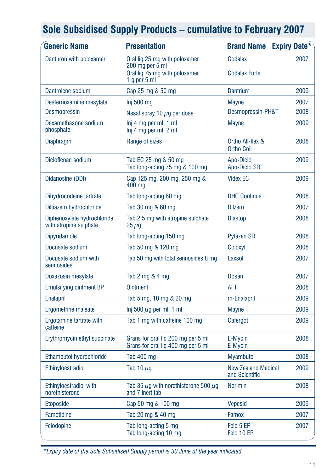| <b>Generic Name</b>                                   | <b>Presentation</b>                                                      | <b>Brand Name</b>                            | <b>Expiry Date*</b> |
|-------------------------------------------------------|--------------------------------------------------------------------------|----------------------------------------------|---------------------|
| Danthron with poloxamer                               | Oral lig 25 mg with poloxamer<br>200 mg per 5 ml                         | Codalax                                      | 2007                |
|                                                       | Oral lig 75 mg with poloxamer<br>1 $q$ per 5 ml                          | <b>Codalax Forte</b>                         |                     |
| Dantrolene sodium                                     | Cap 25 mg & 50 mg                                                        | <b>Dantrium</b>                              | 2009                |
| Desferrioxamine mesylate                              | Inj 500 mg                                                               | <b>Mayne</b>                                 | 2007                |
| <b>Desmopressin</b>                                   | Nasal spray 10 $\mu$ g per dose                                          | Desmopressin-PH&T                            | 2008                |
| Dexamethasone sodium<br>phosphate                     | Inj 4 mg per ml, 1 ml<br>Inj 4 mg per ml, 2 ml                           | Mayne                                        | 2009                |
| <b>Diaphragm</b>                                      | Range of sizes                                                           | Ortho All-flex &<br><b>Ortho Coil</b>        | 2008                |
| Dicloflenac sodium                                    | Tab EC 25 mg & 50 mg<br>Tab long-acting 75 mg & 100 mg                   | Apo-Diclo<br>Apo-Diclo SR                    | 2009                |
| Didanosine (DDI)                                      | Cap 125 mg, 200 mg, 250 mg &<br>400 mg                                   | <b>Videx EC</b>                              | 2009                |
| Dihydrocodeine tartrate                               | Tab long-acting 60 mg                                                    | <b>DHC Continus</b>                          | 2008                |
| Diltiazem hydrochloride                               | Tab 30 mg & 60 mg                                                        | <b>Dilzem</b>                                | 2007                |
| Diphenoxylate hydrochloride<br>with atropine sulphate | Tab 2.5 mg with atropine sulphate<br>$25 \,\mu g$                        | Diastop                                      | 2008                |
| <b>Dipyridamole</b>                                   | Tab long-acting 150 mg                                                   | <b>Pytazen SR</b>                            | 2008                |
| Docusate sodium                                       | Tab 50 mg & 120 mg                                                       | Coloxyl                                      | 2008                |
| Docusate sodium with<br>sennosides                    | Tab 50 mg with total sennosides 8 mg                                     | Laxsol                                       | 2007                |
| Doxazosin mesylate                                    | Tab 2 mg & 4 mg                                                          | Dosan                                        | 2007                |
| <b>Emulsifying ointment BP</b>                        | <b>Ointment</b>                                                          | <b>AFT</b>                                   | 2008                |
| <b>Enalapril</b>                                      | Tab 5 mg, 10 mg & 20 mg                                                  | m-Enalapril                                  | 2009                |
| <b>Ergometrine maleate</b>                            | Inj 500 $\mu$ g per ml, 1 ml                                             | <b>Mayne</b>                                 | 2009                |
| Ergotamine tartrate with<br>caffeine                  | Tab 1 mg with caffeine 100 mg                                            | Cafergot                                     | 2009                |
| Erythromycin ethyl succinate                          | Grans for oral lig 200 mg per 5 ml<br>Grans for oral liq 400 mg per 5 ml | E-Mycin<br>E-Mycin                           | 2008                |
| Ethambutol hydrochloride                              | Tab 400 mg                                                               | <b>Myambutol</b>                             | 2008                |
| Ethinyloestradiol                                     | Tab 10 $\mu$ g                                                           | <b>New Zealand Medical</b><br>and Scientific | 2009                |
| Ethinyloestradiol with<br>norethisterone              | Tab 35 $\mu$ g with norethisterone 500 $\mu$ g<br>and 7 inert tab        | <b>Norimin</b>                               | 2008                |
| <b>Etoposide</b>                                      | Cap 50 mg & 100 mg                                                       | <b>Vepesid</b>                               | 2009                |
| Famotidine                                            | Tab 20 mg & 40 mg                                                        | Famox                                        | 2007                |
| Felodopine                                            | Tab long-acting 5 mg<br>Tab long-acting 10 mg                            | Felo 5 ER<br>Felo 10 ER                      | 2007                |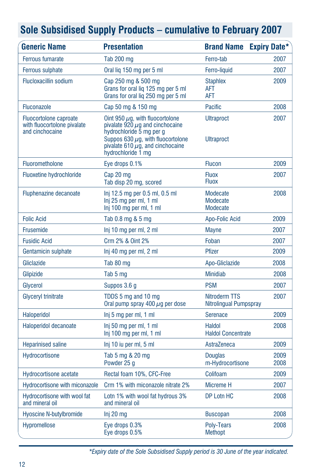| <b>Generic Name</b>                                                             | <b>Presentation</b>                                                                                                                                                                                               | <b>Brand Name</b>                          | <b>Expiry Date*</b> |
|---------------------------------------------------------------------------------|-------------------------------------------------------------------------------------------------------------------------------------------------------------------------------------------------------------------|--------------------------------------------|---------------------|
| <b>Ferrous fumarate</b>                                                         | <b>Tab 200 mg</b>                                                                                                                                                                                                 | Ferro-tab                                  | 2007                |
| <b>Ferrous sulphate</b>                                                         | Oral lig 150 mg per 5 ml                                                                                                                                                                                          | Ferro-liquid                               | 2007                |
| <b>Flucloxacillin sodium</b>                                                    | Cap 250 mg & 500 mg<br>Grans for oral lig 125 mg per 5 ml<br>Grans for oral lig 250 mg per 5 ml                                                                                                                   | <b>Staphlex</b><br>AFT<br><b>AFT</b>       | 2009                |
| <b>Fluconazole</b>                                                              | Cap 50 mg & 150 mg                                                                                                                                                                                                | <b>Pacific</b>                             | 2008                |
| <b>Fluocortolone caproate</b><br>with fluocortolone pivalate<br>and cinchocaine | Oint 950 $\mu$ g, with fluocortolone<br>pivalate 920 $\mu$ g and cinchocaine<br>hydrochloride 5 mg per g<br>Suppos 630 $\mu$ g, with fluocortolone<br>pivalate 610 $\mu$ g, and cinchocaine<br>hydrochloride 1 mg | <b>Ultraproct</b><br><b>Ultraproct</b>     | 2007                |
| Fluorometholone                                                                 | Eye drops 0.1%                                                                                                                                                                                                    | <b>Flucon</b>                              | 2009                |
| <b>Fluoxetine hydrochloride</b>                                                 | Cap 20 mg<br>Tab disp 20 mg, scored                                                                                                                                                                               | <b>Fluox</b><br><b>Fluox</b>               | 2007                |
| Fluphenazine decanoate                                                          | Inj 12.5 mg per 0.5 ml, 0.5 ml<br>Inj 25 mg per ml, 1 ml<br>Inj 100 mg per ml, 1 ml                                                                                                                               | Modecate<br>Modecate<br>Modecate           | 2008                |
| <b>Folic Acid</b>                                                               | Tab 0.8 mg & 5 mg                                                                                                                                                                                                 | Apo-Folic Acid                             | 2009                |
| <b>Frusemide</b>                                                                | Inj 10 mg per ml, 2 ml                                                                                                                                                                                            | <b>Mayne</b>                               | 2007                |
| <b>Fusidic Acid</b>                                                             | Crm 2% & Oint 2%                                                                                                                                                                                                  | Foban                                      | 2007                |
| Gentamicin sulphate                                                             | Inj 40 mg per ml, 2 ml                                                                                                                                                                                            | <b>Pfizer</b>                              | 2009                |
| Gliclazide                                                                      | Tab 80 mg                                                                                                                                                                                                         | Apo-Gliclazide                             | 2008                |
| Glipizide                                                                       | Tab 5 mg                                                                                                                                                                                                          | <b>Minidiab</b>                            | 2008                |
| Glycerol                                                                        | Suppos 3.6 g                                                                                                                                                                                                      | <b>PSM</b>                                 | 2007                |
| Glyceryl trinitrate                                                             | TDDS 5 mg and 10 mg<br>Oral pump spray 400 $\mu$ g per dose                                                                                                                                                       | Nitroderm TTS<br>Nitrolingual Pumpspray    | 2007                |
| <b>Haloperidol</b>                                                              | Inj 5 mg per ml, 1 ml                                                                                                                                                                                             | <b>Serenace</b>                            | 2009                |
| Haloperidol decanoate                                                           | Inj 50 mg per ml, 1 ml<br>Inj 100 mg per ml, 1 ml                                                                                                                                                                 | <b>Haldol</b><br><b>Haldol Concentrate</b> | 2008                |
| <b>Heparinised saline</b>                                                       | Inj 10 iu per ml, 5 ml                                                                                                                                                                                            | AstraZeneca                                | 2009                |
| Hydrocortisone                                                                  | Tab 5 mg & 20 mg<br>Powder 25 g                                                                                                                                                                                   | <b>Douglas</b><br>m-Hydrocortisone         | 2009<br>2008        |
| <b>Hydrocortisone acetate</b>                                                   | Rectal foam 10%, CFC-Free                                                                                                                                                                                         | Colifoam                                   | 2009                |
| Hydrocortisone with miconazole                                                  | Crm 1% with miconazole nitrate 2%                                                                                                                                                                                 | Micreme H                                  | 2007                |
| Hydrocortisone with wool fat<br>and mineral oil                                 | Lotn 1% with wool fat hydrous 3%<br>and mineral oil                                                                                                                                                               | DP Lotn HC                                 | 2008                |
| <b>Hyoscine N-butylbromide</b>                                                  | Inj 20 mg                                                                                                                                                                                                         | <b>Buscopan</b>                            | 2008                |
| <b>Hypromellose</b>                                                             | Eye drops 0.3%<br>Eye drops 0.5%                                                                                                                                                                                  | Poly-Tears<br><b>Methopt</b>               | 2008                |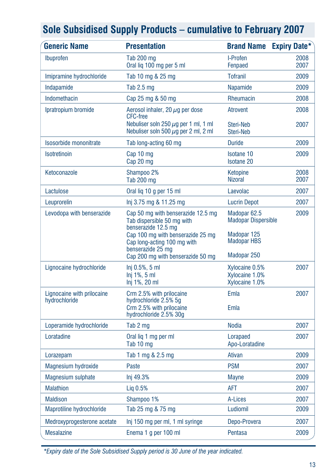| <b>Generic Name</b>         | <b>Presentation</b>                                                                                  | <b>Brand Name</b>                                     | <b>Expiry Date*</b> |
|-----------------------------|------------------------------------------------------------------------------------------------------|-------------------------------------------------------|---------------------|
| Ibuprofen                   | Tab 200 mg<br>Oral lig 100 mg per 5 ml                                                               | I-Profen<br>Fenpaed                                   | 2008<br>2007        |
| Imipramine hydrochloride    | Tab 10 mg & 25 mg                                                                                    | <b>Tofranil</b>                                       | 2009                |
| Indapamide                  | Tab $2.5$ mg                                                                                         | Napamide                                              | 2009                |
| Indomethacin                | Cap 25 mg & 50 mg                                                                                    | Rheumacin                                             | 2008                |
| Ipratropium bromide         | Aerosol inhaler, 20 $\mu$ q per dose<br><b>CFC-free</b><br>Nebuliser soln 250 $\mu$ g per 1 ml, 1 ml | <b>Atrovent</b><br>Steri-Neb                          | 2008<br>2007        |
|                             | Nebuliser soln 500 $\mu$ q per 2 ml, 2 ml                                                            | Steri-Neb                                             |                     |
| Isosorbide mononitrate      | Tab long-acting 60 mg                                                                                | <b>Duride</b>                                         | 2009                |
| Isotretinoin                | Cap 10 mg<br>Cap 20 mg                                                                               | <b>Isotane 10</b><br><b>Isotane 20</b>                | 2009                |
| Ketoconazole                | Shampoo 2%<br><b>Tab 200 mg</b>                                                                      | Ketopine<br><b>Nizoral</b>                            | 2008<br>2007        |
| Lactulose                   | Oral lig 10 g per 15 ml                                                                              | Laevolac                                              | 2007                |
| Leuprorelin                 | lnj 3.75 mg & 11.25 mg                                                                               | <b>Lucrin Depot</b>                                   | 2007                |
| Levodopa with benserazide   | Cap 50 mg with benserazide 12.5 mg<br>Tab dispersible 50 mg with<br>benserazide 12.5 mg              | Madopar <sub>62.5</sub><br><b>Madopar Dispersible</b> | 2009                |
|                             | Cap 100 mg with benserazide 25 mg<br>Cap long-acting 100 mg with<br>benserazide 25 mg                | Madopar 125<br><b>Madopar HBS</b>                     |                     |
|                             | Cap 200 mg with benserazide 50 mg                                                                    | Madopar 250                                           |                     |
| Lignocaine hydrochloride    | $Inj 0.5%$ , 5 ml<br>Inj 1%, 5 ml<br>Inj 1%, 20 ml                                                   | Xylocaine 0.5%<br>Xylocaine 1.0%<br>Xylocaine 1.0%    | 2007                |
| Lignocaine with prilocaine  | Crm 2.5% with prilocaine                                                                             | Emla                                                  | 2007                |
| hydrochloride               | hydrochloride 2.5% 5g<br>Crm 2.5% with prilocaine<br>hydrochloride 2.5% 30g                          | Emla                                                  |                     |
| Loperamide hydrochloride    | Tab 2 mg                                                                                             | <b>Nodia</b>                                          | 2007                |
| Loratadine                  | Oral lig 1 mg per ml<br>Tab 10 mg                                                                    | Lorapaed<br>Apo-Loratadine                            | 2007                |
| Lorazepam                   | Tab 1 mg & 2.5 mg                                                                                    | Ativan                                                | 2009                |
| Magnesium hydroxide         | Paste                                                                                                | <b>PSM</b>                                            | 2007                |
| <b>Magnesium sulphate</b>   | Inj 49.3%                                                                                            | <b>Mayne</b>                                          | 2009                |
| <b>Malathion</b>            | Lig $0.5%$                                                                                           | AFT                                                   | 2007                |
| <b>Maldison</b>             | Shampoo 1%                                                                                           | A-Lices                                               | 2007                |
| Maprotiline hydrochloride   | Tab 25 mg & 75 mg                                                                                    | Ludiomil                                              | 2009                |
| Medroxyprogesterone acetate | Inj 150 mg per ml, 1 ml syringe                                                                      | Depo-Provera                                          | 2007                |
| <b>Mesalazine</b>           | Enema 1 g per 100 ml                                                                                 | Pentasa                                               | 2009                |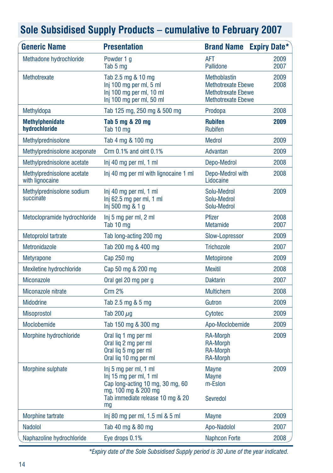| Sole Subsidised Supply Products – cumulative to February 2007 |  |  |  |
|---------------------------------------------------------------|--|--|--|
|---------------------------------------------------------------|--|--|--|

| <b>Generic Name</b>                           | <b>Presentation</b>                                                                                                                                  | <b>Brand Name Expiry Date*</b>                                                                             |              |
|-----------------------------------------------|------------------------------------------------------------------------------------------------------------------------------------------------------|------------------------------------------------------------------------------------------------------------|--------------|
| Methadone hydrochloride                       | Powder 1 a<br>Tab 5 mg                                                                                                                               | <b>AFT</b><br>Pallidone                                                                                    | 2009<br>2007 |
| Methotrexate                                  | Tab 2.5 mg & 10 mg<br>Inj 100 mg per ml, 5 ml<br>Inj 100 mg per ml, 10 ml<br>Inj 100 mg per ml, 50 ml                                                | <b>Methoblastin</b><br><b>Methotrexate Ebewe</b><br><b>Methotrexate Ebewe</b><br><b>Methotrexate Ebewe</b> | 2009<br>2008 |
| Methyldopa                                    | Tab 125 mg, 250 mg & 500 mg                                                                                                                          | Prodopa                                                                                                    | 2008         |
| <b>Methylphenidate</b><br>hydrochloride       | Tab 5 mg & 20 mg<br>Tab 10 mg                                                                                                                        | <b>Rubifen</b><br><b>Rubifen</b>                                                                           | 2009         |
| Methylprednisolone                            | Tab 4 mg & 100 mg                                                                                                                                    | <b>Medrol</b>                                                                                              | 2009         |
| Methylprednisolone aceponate                  | Crm 0.1% and oint 0.1%                                                                                                                               | Advantan                                                                                                   | 2009         |
| Methylprednisolone acetate                    | Inj 40 mg per ml, 1 ml                                                                                                                               | Depo-Medrol                                                                                                | 2008         |
| Methylprednisolone acetate<br>with lignocaine | Inj 40 mg per ml with lignocaine 1 ml                                                                                                                | Depo-Medrol with<br>Lidocaine                                                                              | 2008         |
| Methylprednisolone sodium<br>succinate        | Inj 40 mg per ml, 1 ml<br>$Inj$ 62.5 mg per ml, 1 ml<br>Inj 500 mg & 1 g                                                                             | Solu-Medrol<br>Solu-Medrol<br>Solu-Medrol                                                                  | 2009         |
| Metoclopramide hydrochloride                  | Inj 5 mg per ml, 2 ml<br>Tab 10 mg                                                                                                                   | Pfizer<br>Metamide                                                                                         | 2008<br>2007 |
| Metoprolol tartrate                           | Tab long-acting 200 mg                                                                                                                               | Slow-Lopressor                                                                                             | 2009         |
| Metronidazole                                 | Tab 200 mg & 400 mg                                                                                                                                  | <b>Trichozole</b>                                                                                          | 2007         |
| <b>Metyrapone</b>                             | Cap 250 mg                                                                                                                                           | <b>Metopirone</b>                                                                                          | 2009         |
| Mexiletine hydrochloride                      | Cap 50 mg & 200 mg                                                                                                                                   | <b>Mexitil</b>                                                                                             | 2008         |
| <b>Miconazole</b>                             | Oral gel 20 mg per g                                                                                                                                 | <b>Daktarin</b>                                                                                            | 2007         |
| Miconazole nitrate                            | Crm 2%                                                                                                                                               | <b>Multichem</b>                                                                                           | 2008         |
| <b>Midodrine</b>                              | Tab 2.5 mg & 5 mg                                                                                                                                    | Gutron                                                                                                     | 2009         |
| <b>Misoprostol</b>                            | Tab 200 $\mu$ g                                                                                                                                      | Cytotec                                                                                                    | 2009         |
| <b>Moclobemide</b>                            | Tab 150 mg & 300 mg                                                                                                                                  | Apo-Moclobemide                                                                                            | 2009         |
| Morphine hydrochloride                        | Oral lig 1 mg per ml<br>Oral lig 2 mg per ml<br>Oral lig 5 mg per ml<br>Oral lig 10 mg per ml                                                        | RA-Morph<br><b>RA-Morph</b><br><b>RA-Morph</b><br><b>RA-Morph</b>                                          | 2009         |
| Morphine sulphate                             | Inj 5 mg per ml, 1 ml<br>Inj 15 mg per ml, 1 ml<br>Cap long-acting 10 mg, 30 mg, 60<br>mg, 100 mg & 200 mg<br>Tab immediate release 10 mg & 20<br>mg | <b>Mayne</b><br><b>Mayne</b><br>m-Eslon<br>Sevredol                                                        | 2009         |
| <b>Morphine tartrate</b>                      | Inj 80 mg per ml, 1.5 ml & 5 ml                                                                                                                      | <b>Mayne</b>                                                                                               | 2009         |
| <b>Nadolol</b>                                | Tab 40 mg & 80 mg                                                                                                                                    | Apo-Nadolol                                                                                                | 2007         |
| Naphazoline hydrochloride                     | Eye drops 0.1%                                                                                                                                       | <b>Naphcon Forte</b>                                                                                       | 2008         |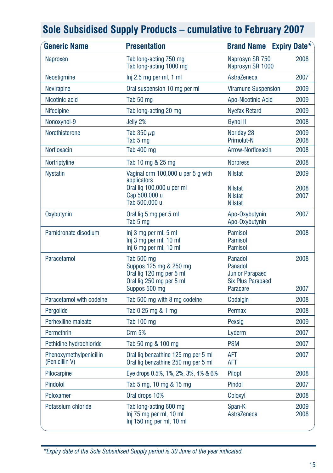| <b>Generic Name</b>                       | <b>Presentation</b>                                                                                           | <b>Brand Name Expiry Date*</b>                                                       |              |
|-------------------------------------------|---------------------------------------------------------------------------------------------------------------|--------------------------------------------------------------------------------------|--------------|
| Naproxen                                  | Tab long-acting 750 mg<br>Tab long-acting 1000 mg                                                             | Naprosyn SR 750<br>Naprosyn SR 1000                                                  | 2008         |
| Neostigmine                               | Inj 2.5 mg per ml, 1 ml                                                                                       | AstraZeneca                                                                          | 2007         |
| Nevirapine                                | Oral suspension 10 mg per ml                                                                                  | <b>Viramune Suspension</b>                                                           | 2009         |
| Nicotinic acid                            | Tab 50 mg                                                                                                     | Apo-Nicotinic Acid                                                                   | 2009         |
| <b>Nifedipine</b>                         | Tab long-acting 20 mg                                                                                         | <b>Nyefax Retard</b>                                                                 | 2009         |
| Nonoxynol-9                               | Jelly 2%                                                                                                      | Gynol II                                                                             | 2008         |
| Norethisterone                            | Tab 350 $\mu$ g<br>Tab 5 mg                                                                                   | Noriday 28<br><b>Primolut-N</b>                                                      | 2009<br>2008 |
| Norfloxacin                               | <b>Tab 400 mg</b>                                                                                             | Arrow-Norfloxacin                                                                    | 2008         |
| Nortriptyline                             | Tab 10 mg & 25 mg                                                                                             | <b>Norpress</b>                                                                      | 2008         |
| <b>Nystatin</b>                           | Vaginal crm 100,000 u per 5 g with<br>applicators                                                             | <b>Nilstat</b>                                                                       | 2009         |
|                                           | Oral liq 100,000 u per ml<br>Cap 500,000 u                                                                    | <b>Nilstat</b><br><b>Nilstat</b>                                                     | 2008<br>2007 |
|                                           | Tab 500,000 u                                                                                                 | <b>Nilstat</b>                                                                       |              |
| Oxybutynin                                | Oral lig 5 mg per 5 ml<br>Tab 5 mg                                                                            | Apo-Oxybutynin<br>Apo-Oxybutynin                                                     | 2007         |
| Pamidronate disodium                      | Inj 3 mg per ml, 5 ml<br>Inj 3 mg per ml, 10 ml<br>Inj 6 mg per ml, 10 ml                                     | <b>Pamisol</b><br><b>Pamisol</b><br>Pamisol                                          | 2008         |
| Paracetamol                               | Tab 500 mg<br>Suppos 125 mg & 250 mg<br>Oral liq 120 mg per 5 ml<br>Oral lig 250 mg per 5 ml<br>Suppos 500 mg | Panadol<br>Panadol<br><b>Junior Parapaed</b><br><b>Six Plus Parapaed</b><br>Paracare | 2008<br>2007 |
| Paracetamol with codeine                  | Tab 500 mg with 8 mg codeine                                                                                  | Codalgin                                                                             | 2008         |
| Pergolide                                 | Tab 0.25 mg & 1 mg                                                                                            | Permax                                                                               | 2008         |
| Perhexiline maleate                       | Tab 100 mg                                                                                                    | Pexsig                                                                               | 2009         |
| Permethrin                                | Crm 5%                                                                                                        | Lyderm                                                                               | 2007         |
| Pethidine hydrochloride                   | Tab 50 mg & 100 mg                                                                                            | <b>PSM</b>                                                                           | 2007         |
| Phenoxymethylpenicillin<br>(Penicillin V) | Oral lig benzathine 125 mg per 5 ml<br>Oral liq benzathine 250 mg per 5 ml                                    | AFT<br>AFT                                                                           | 2007         |
| Pilocarpine                               | Eye drops 0.5%, 1%, 2%, 3%, 4% & 6%                                                                           | Pilopt                                                                               | 2008         |
| Pindolol                                  | Tab 5 mg, 10 mg & 15 mg                                                                                       | Pindol                                                                               | 2007         |
| Poloxamer                                 | Oral drops 10%                                                                                                | Coloxyl                                                                              | 2008         |
| Potassium chloride                        | Tab long-acting 600 mg<br>Inj 75 mg per ml, 10 ml<br>Inj 150 mg per ml, 10 ml                                 | Span-K<br>AstraZeneca                                                                | 2009<br>2008 |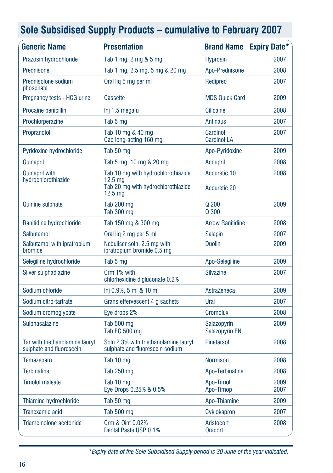| <b>Generic Name</b>                                         | <b>Presentation</b>                                                                                                  | <b>Brand Name</b>                   | <b>Expiry Date*</b> |
|-------------------------------------------------------------|----------------------------------------------------------------------------------------------------------------------|-------------------------------------|---------------------|
| Prazosin hydrochloride                                      | Tab 1 mg, 2 mg & 5 mg                                                                                                | <b>Hyprosin</b>                     | 2007                |
| Prednisone                                                  | Tab 1 mg, 2.5 mg, 5 mg & 20 mg                                                                                       | Apo-Prednisone                      | 2008                |
| Prednisolone sodium<br>phosphate                            | Oral lig 5 mg per ml                                                                                                 | Redipred                            | 2007                |
| Pregnancy tests - HCG urine                                 | <b>Cassette</b>                                                                                                      | <b>MDS Quick Card</b>               | 2009                |
| Procaine penicillin                                         | Inj 1.5 mega u                                                                                                       | <b>Cilicaine</b>                    | 2008                |
| Prochlorperazine                                            | Tab 5 mg                                                                                                             | <b>Antinaus</b>                     | 2007                |
| Propranolol                                                 | Tab 10 mg & 40 mg<br>Cap long-acting 160 mg                                                                          | Cardinol<br><b>Cardinol LA</b>      | 2007                |
| Pyridoxine hydrochloride                                    | Tab 50 mg                                                                                                            | Apo-Pyridoxine                      | 2009                |
| Quinapril                                                   | Tab 5 mg, 10 mg & 20 mg                                                                                              | Accupril                            | 2008                |
| <b>Quinapril with</b><br>hydrochlorothiazide                | Tab 10 mg with hydrochlorothiazide<br>12.5 <sub>ma</sub><br>Tab 20 mg with hydrochlorothiazide<br>12.5 <sub>mg</sub> | Accuretic 10<br><b>Accuretic 20</b> | 2008                |
| <b>Quinine sulphate</b>                                     | Tab 200 mg<br><b>Tab 300 mg</b>                                                                                      | Q 200<br>Q 300                      | 2009                |
| Ranitidine hydrochloride                                    | Tab 150 mg & 300 mg                                                                                                  | <b>Arrow Ranitidine</b>             | 2008                |
| Salbutamol                                                  | Oral lig 2 mg per 5 ml                                                                                               | <b>Salapin</b>                      | 2007                |
| Salbutamol with ipratropium<br>bromide                      | Nebuliser soln, 2.5 mg with<br>ipratropium bromide 0.5 mg                                                            | <b>Duolin</b>                       | 2009                |
| Selegiline hydrochloride                                    | Tab 5 mg                                                                                                             | Apo-Selegiline                      | 2009                |
| Silver sulphadiazine                                        | Crm 1% with<br>chlorhexidine digluconate 0.2%                                                                        | <b>Silvazine</b>                    | 2007                |
| Sodium chloride                                             | Inj 0.9%, 5 ml & 10 ml                                                                                               | AstraZeneca                         | 2009                |
| Sodium citro-tartrate                                       | Grans effervescent 4 g sachets                                                                                       | Ural                                | 2007                |
| Sodium cromoglycate                                         | Eye drops 2%                                                                                                         | <b>Cromolux</b>                     | 2008                |
| Sulphasalazine                                              | Tab 500 mg<br>Tab EC 500 mg                                                                                          | Salazopyrin<br>Salazopyrin EN       | 2009                |
| Tar with triethanolamine lauryl<br>sulphate and fluorescein | Soln 2.3% with triethanolamine lauryl<br>sulphate and fluorescein sodium                                             | <b>Pinetarsol</b>                   | 2008                |
| Temazepam                                                   | Tab 10 mg                                                                                                            | <b>Normison</b>                     | 2008                |
| <b>Terbinafine</b>                                          | Tab 250 mg                                                                                                           | Apo-Terbinafine                     | 2008                |
| <b>Timolol maleate</b>                                      | Tab 10 mg<br>Eye Drops 0.25% & 0.5%                                                                                  | Apo-Timol<br>Apo-Timop              | 2009<br>2007        |
| Thiamine hydrochloride                                      | Tab 50 mg                                                                                                            | Apo-Thiamine                        | 2009                |
| Tranexamic acid                                             | Tab 500 mg                                                                                                           | Cyklokapron                         | 2007                |
| Triamcinolone acetonide                                     | Crm & Oint 0.02%<br>Dental Paste USP 0.1%                                                                            | Aristocort<br><b>Oracort</b>        | 2008                |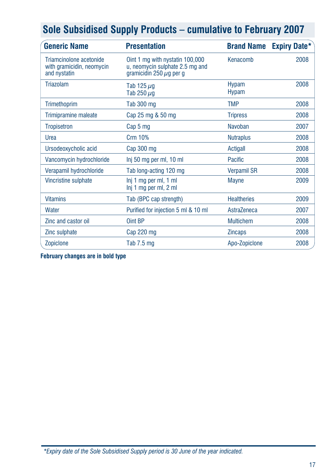| <b>Generic Name</b>                                                  | <b>Presentation</b>                                                                                | <b>Brand Name</b>            | <b>Expiry Date*</b> |
|----------------------------------------------------------------------|----------------------------------------------------------------------------------------------------|------------------------------|---------------------|
| Triamcinolone acetonide<br>with gramicidin, neomycin<br>and nystatin | Oint 1 mg with nystatin 100,000<br>u, neomycin sulphate 2.5 mg and<br>gramicidin 250 $\mu$ g per g | Kenacomb                     | 2008                |
| Triazolam                                                            | Tab 125 $\mu$ g<br>Tab 250 $\mu$ g                                                                 | <b>Hypam</b><br><b>Hypam</b> | 2008                |
| Trimethoprim                                                         | Tab 300 mg                                                                                         | <b>TMP</b>                   | 2008                |
| Trimipramine maleate                                                 | Cap 25 mg & 50 mg                                                                                  | <b>Tripress</b>              | 2008                |
| <b>Tropisetron</b>                                                   | Cap 5 mg                                                                                           | Navoban                      | 2007                |
| Urea                                                                 | <b>Crm 10%</b>                                                                                     | <b>Nutraplus</b>             | 2008                |
| Ursodeoxycholic acid                                                 | Cap 300 mg                                                                                         | Actigall                     | 2008                |
| Vancomycin hydrochloride                                             | Inj 50 mg per ml, 10 ml                                                                            | Pacific                      | 2008                |
| Verapamil hydrochloride                                              | Tab long-acting 120 mg                                                                             | <b>Verpamil SR</b>           | 2008                |
| Vincristine sulphate                                                 | Inj 1 mg per ml, 1 ml<br>Inj 1 mg per ml, 2 ml                                                     | <b>Mayne</b>                 | 2009                |
| <b>Vitamins</b>                                                      | Tab (BPC cap strength)                                                                             | <b>Healtheries</b>           | 2009                |
| Water                                                                | Purified for injection 5 ml & 10 ml                                                                | AstraZeneca                  | 2007                |
| Zinc and castor oil                                                  | Oint BP                                                                                            | <b>Multichem</b>             | 2008                |
| Zinc sulphate                                                        | Cap 220 mg                                                                                         | <b>Zincaps</b>               | 2008                |
| Zopiclone                                                            | Tab $7.5 \text{ mg}$                                                                               | Apo-Zopiclone                | 2008                |

**February changes are in bold type**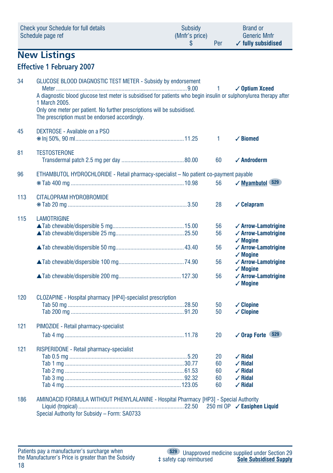|     | Schedule page ref                                                                                                                                                                                                                                                                                                                | (Mnfr's price)<br>\$ | Per                  | <b>Generic Mnfr</b><br>$\checkmark$ fully subsidised                         |
|-----|----------------------------------------------------------------------------------------------------------------------------------------------------------------------------------------------------------------------------------------------------------------------------------------------------------------------------------|----------------------|----------------------|------------------------------------------------------------------------------|
|     | <b>New Listings</b>                                                                                                                                                                                                                                                                                                              |                      |                      |                                                                              |
|     | <b>Effective 1 February 2007</b>                                                                                                                                                                                                                                                                                                 |                      |                      |                                                                              |
| 34  | GLUCOSE BLOOD DIAGNOSTIC TEST METER - Subsidy by endorsement<br>A diagnostic blood glucose test meter is subsidised for patients who begin insulin or sulphonylurea therapy after<br>1 March 2005.<br>Only one meter per patient. No further prescriptions will be subsidised.<br>The prescription must be endorsed accordingly. |                      | 1                    | ✓ Optium Xceed                                                               |
| 45  | DEXTROSE - Available on a PSO                                                                                                                                                                                                                                                                                                    |                      | 1                    | $\checkmark$ Biomed                                                          |
| 81  | <b>TESTOSTERONE</b>                                                                                                                                                                                                                                                                                                              |                      | 60                   | $\checkmark$ Androderm                                                       |
| 96  | ETHAMBUTOL HYDROCHLORIDE - Retail pharmacy-specialist - No patient co-payment payable                                                                                                                                                                                                                                            |                      |                      |                                                                              |
|     |                                                                                                                                                                                                                                                                                                                                  |                      | 56                   | ✓ Myambutol S29                                                              |
| 113 | CITALOPRAM HYDROBROMIDE                                                                                                                                                                                                                                                                                                          |                      | 28                   | $\checkmark$ Celapram                                                        |
| 115 | <b>LAMOTRIGINE</b>                                                                                                                                                                                                                                                                                                               |                      | 56<br>56             | $\checkmark$ Arrow-Lamotrigine<br>✓ Arrow-Lamotrigine                        |
|     |                                                                                                                                                                                                                                                                                                                                  |                      | 56                   | $\checkmark$ Mogine<br>$\checkmark$ Arrow-Lamotrigine<br>$\checkmark$ Mogine |
|     |                                                                                                                                                                                                                                                                                                                                  |                      | 56                   | ✓ Arrow-Lamotrigine<br>$\checkmark$ Moaine                                   |
|     |                                                                                                                                                                                                                                                                                                                                  |                      | 56                   | ✓ Arrow-Lamotrigine<br>$\checkmark$ Mogine                                   |
| 120 | CLOZAPINE - Hospital pharmacy [HP4]-specialist prescription                                                                                                                                                                                                                                                                      |                      | 50<br>50             | $\checkmark$ Clopine<br>$\checkmark$ Clopine                                 |
| 121 | PIMOZIDE - Retail pharmacy-specialist                                                                                                                                                                                                                                                                                            |                      |                      |                                                                              |
|     |                                                                                                                                                                                                                                                                                                                                  |                      | 20                   | ✓ Orap Forte \$29                                                            |
| 121 | RISPERIDONE - Retail pharmacy-specialist                                                                                                                                                                                                                                                                                         |                      | 20<br>60<br>60<br>60 | $\sqrt{R}$ idal<br>$\sqrt{R}$ idal<br>$\angle$ Ridal<br>$\checkmark$ Ridal   |

Check your Schedule for full details Subsidy Brand or

### 186 AMINOACID FORMULA WITHOUT PHENYLALANINE - Hospital Pharmacy [HP3] - Special Authority Liquid (tropical).......................................................................22.50 250 ml OP ✓ **Easiphen Liquid**

Tab 4 mg ..............................................................................123.05 60 ✓ **Ridal**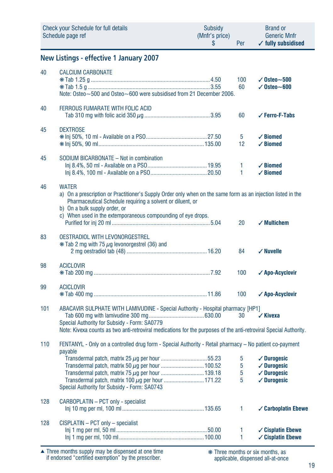|     | <b>Check your Schedule for full details</b><br>Schedule page ref                                                                                                                                                                                                                            | Subsidy<br>(Mnfr's price)<br>\$ | Per               | <b>Brand or</b><br><b>Generic Mnfr</b><br>$\checkmark$ fully subsidised                                           |
|-----|---------------------------------------------------------------------------------------------------------------------------------------------------------------------------------------------------------------------------------------------------------------------------------------------|---------------------------------|-------------------|-------------------------------------------------------------------------------------------------------------------|
|     | New Listings - effective 1 January 2007                                                                                                                                                                                                                                                     |                                 |                   |                                                                                                                   |
| 40  | <b>CALCIUM CARBONATE</b><br>Note: Osteo~500 and Osteo~600 were subsidised from 21 December 2006.                                                                                                                                                                                            |                                 | 100<br>60         | $\sqrt{0}$ steo $\sim$ 500<br>$\checkmark$ Osteo $\sim$ 600                                                       |
| 40  | <b>FERROUS FUMARATE WITH FOLIC ACID</b>                                                                                                                                                                                                                                                     |                                 | 60                | ✓ Ferro-F-Tabs                                                                                                    |
| 45  | <b>DEXTROSE</b>                                                                                                                                                                                                                                                                             |                                 | 5<br>12           | $\checkmark$ Biomed<br>$\checkmark$ Biomed                                                                        |
| 45  | SODIUM BICARBONATE - Not in combination                                                                                                                                                                                                                                                     |                                 | 1<br>1            | $\checkmark$ Biomed<br>$\angle$ Biomed                                                                            |
| 46  | <b>WATER</b><br>a) On a prescription or Practitioner's Supply Order only when on the same form as an injection listed in the<br>Pharmaceutical Schedule requiring a solvent or diluent, or<br>b) On a bulk supply order, or<br>c) When used in the extemporaneous compounding of eye drops. |                                 | 20                | $\checkmark$ Multichem                                                                                            |
| 83  | <b>OESTRADIOL WITH LEVONORGESTREL</b><br>$*$ Tab 2 mg with 75 $\mu$ g levonorgestrel (36) and                                                                                                                                                                                               |                                 | 84                | $\checkmark$ Nuvelle                                                                                              |
| 98  | <b>ACICLOVIR</b>                                                                                                                                                                                                                                                                            |                                 | 100               | √ Apo-Acyclovir                                                                                                   |
| 99  | <b>ACICLOVIR</b>                                                                                                                                                                                                                                                                            |                                 | 100               | √ Apo-Acyclovir                                                                                                   |
| 101 | ABACAVIR SULPHATE WITH LAMIVUDINE - Special Authority - Hospital pharmacy [HP1]<br>Special Authority for Subsidy - Form: SA0779<br>Note: Kivexa counts as two anti-retroviral medications for the purposes of the anti-retroviral Special Authority.                                        |                                 | 30                | $\checkmark$ Kivexa                                                                                               |
| 110 | FENTANYL - Only on a controlled drug form - Special Authority - Retail pharmacy - No patient co-payment<br>payable                                                                                                                                                                          |                                 |                   |                                                                                                                   |
|     | Transdermal patch, matrix 100 µg per hour  171.22<br>Special Authority for Subsidy - Form: SA0743                                                                                                                                                                                           |                                 | 5<br>5<br>5<br>5  | $\sqrt{}$ Durogesic<br>$\checkmark$ Durogesic<br>$\sqrt{\phantom{a}}$ Durogesic<br>$\sqrt{\phantom{a}}$ Durogesic |
| 128 | CARBOPLATIN - PCT only - specialist                                                                                                                                                                                                                                                         |                                 | 1                 | ✓ Carboplatin Ebewe                                                                                               |
| 128 | CISPLATIN - PCT only - specialist                                                                                                                                                                                                                                                           |                                 | $\mathbf{1}$<br>1 | $\checkmark$ Cisplatin Ebewe<br>$\checkmark$ Cisplatin Ebewe                                                      |

Three months supply may be dispensed at one time if endorsed "certified exemption" by the prescriber. ▲ ❋ Three months or six months, as

applicable, dispensed all-at-once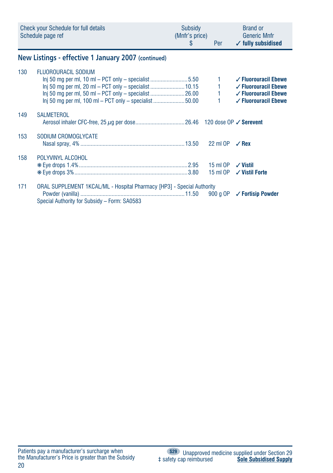|     | <b>Check your Schedule for full details</b><br>Schedule page ref                                                                          | Subsidy<br>(Mnfr's price)<br>\$ | <b>Per</b>                             | <b>Brand or</b><br><b>Generic Mnfr</b><br>$\checkmark$ fully subsidised                                                                  |
|-----|-------------------------------------------------------------------------------------------------------------------------------------------|---------------------------------|----------------------------------------|------------------------------------------------------------------------------------------------------------------------------------------|
|     | New Listings - effective 1 January 2007 (continued)                                                                                       |                                 |                                        |                                                                                                                                          |
| 130 | FLUOROURACIL SODIUM<br>$\ln$ 50 mg per ml, 10 ml – PCT only – specialist 5.50<br>$\ln$ 50 mg per ml, 100 ml – PCT only – specialist 50.00 |                                 | 1.<br>$1 -$<br>$1 - 1$<br>$\mathbf{1}$ | $\checkmark$ Fluorouracil Ebewe<br>$\checkmark$ Fluorouracil Ebewe<br>$\checkmark$ Fluorouracil Ebewe<br>$\checkmark$ Fluorouracil Ebewe |
| 149 | <b>SALMETEROL</b>                                                                                                                         |                                 |                                        |                                                                                                                                          |
| 153 | SODIUM CROMOGLYCATE                                                                                                                       |                                 | 22 ml OP                               | $\sqrt{Rex}$                                                                                                                             |
| 158 | POLYVINYL ALCOHOL                                                                                                                         |                                 | 15 ml OP<br>15 ml OP                   | $\sqrt{V}$ Vistil<br>✓ Vistil Forte                                                                                                      |
| 171 | ORAL SUPPLEMENT 1KCAL/ML - Hospital Pharmacy [HP3] - Special Authority<br>Special Authority for Subsidy - Form: SA0583                    |                                 | 900 g OP                               | ✓ Fortisip Powder                                                                                                                        |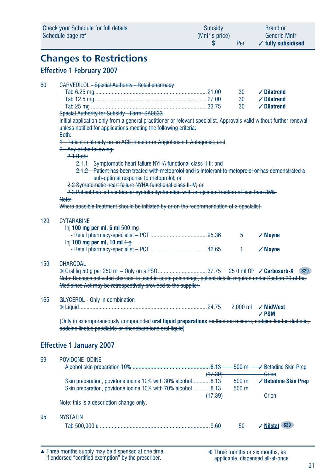| Check your Schedule for full details | Subsidy        | <b>Brand or</b>               |
|--------------------------------------|----------------|-------------------------------|
| Schedule page ref                    | (Mnfr's price) | <b>Generic Mnfr</b>           |
|                                      | Per            | $\checkmark$ fully subsidised |

## **Changes to Restrictions**

### **Effective 1 February 2007**

| 60  | CARVEDILOL - Special Authority - Retail pharmacy                                                                      |         |                  |                            |
|-----|-----------------------------------------------------------------------------------------------------------------------|---------|------------------|----------------------------|
|     |                                                                                                                       |         | 30               | $\checkmark$ Dilatrend     |
|     |                                                                                                                       |         | 30               | $\checkmark$ Dilatrend     |
|     |                                                                                                                       |         | 30               | $\checkmark$ Dilatrend     |
|     | Special Authority for Subsidy - Form: SA0633                                                                          |         |                  |                            |
|     | Initial application only from a general practitioner or relevant specialist. Approvals valid without further renewal- |         |                  |                            |
|     | unless notified for applications meeting the following criteria:                                                      |         |                  |                            |
|     | Both:                                                                                                                 |         |                  |                            |
|     | 1 Patient is already on an ACE inhibitor or Angiotensin II Antagonist; and                                            |         |                  |                            |
|     | 2 Any of the following:                                                                                               |         |                  |                            |
|     | $2.1$ Both:                                                                                                           |         |                  |                            |
|     | 2.1.1 Symptomatic heart failure NYHA functional class II-II; and                                                      |         |                  |                            |
|     | 2.1.2 Patient has been treated with metoprolol and is intolerant to metoprolol or has demonstrated a                  |         |                  |                            |
|     | sub-optimal response to metoprolol; or                                                                                |         |                  |                            |
|     | 2.2 Symptomatic heart failure NYHA functional class II-IV; or                                                         |         |                  |                            |
|     | 2.3 Patient has left ventricular systolic dysfunction with an ejection fraction of less than 35%.                     |         |                  |                            |
|     | Note:                                                                                                                 |         |                  |                            |
|     | Where possible treatment should be initiated by or on the recommendation of a specialist.                             |         |                  |                            |
|     |                                                                                                                       |         |                  |                            |
| 129 | <b>CYTARABINE</b>                                                                                                     |         |                  |                            |
|     | Inj 100 mg per ml, 5 ml $500 \text{ mg}$                                                                              |         |                  |                            |
|     |                                                                                                                       |         | 5                | $\checkmark$ Mayne         |
|     | Inj 100 mg per ml, 10 ml $+$ g                                                                                        |         |                  |                            |
|     |                                                                                                                       |         | 1                | $\sqrt{M}$ ayne            |
| 159 | <b>CHARCOAL</b>                                                                                                       |         |                  |                            |
|     |                                                                                                                       |         |                  |                            |
|     | Note: Because activated charcoal is used in acute poisonings, patient details required under Section 29 of the        |         |                  |                            |
|     | Medicines Act may be retrospectively provided to the supplier.                                                        |         |                  |                            |
|     |                                                                                                                       |         |                  |                            |
| 165 | <b>GLYCEROL - Only in combination</b>                                                                                 |         |                  |                            |
|     |                                                                                                                       |         | $2.000$ ml       | $\checkmark$ MidWest       |
|     |                                                                                                                       |         |                  | $\angle$ PSM               |
|     | (Only in extemporaneously compounded oral liquid preparations methadone mixture, codeine linetus diabetic,            |         |                  |                            |
|     | codeine linctus paediatric or phenobarbitone oral liquid)                                                             |         |                  |                            |
|     |                                                                                                                       |         |                  |                            |
|     | <b>Effective 1 January 2007</b>                                                                                       |         |                  |                            |
|     |                                                                                                                       |         |                  |                            |
| 69  | POVIDONE IODINE                                                                                                       |         |                  |                            |
|     |                                                                                                                       |         | $500 \text{ ml}$ | <b>√Betadine Skin Prep</b> |
|     |                                                                                                                       | (17.39) |                  | Orion                      |
|     | Skin preparation, povidone iodine 10% with 30% alcohol8.13                                                            |         | 500 ml           | ✓ Betadine Skin Prep       |
|     | Skin preparation, povidone iodine 10% with 70% alcohol8.13                                                            |         | 500 ml           |                            |
|     |                                                                                                                       | (17.39) |                  | <b>Orion</b>               |
|     | Note: this is a description change only.                                                                              |         |                  |                            |
| 95  | <b>NYSTATIN</b>                                                                                                       |         |                  |                            |
|     |                                                                                                                       |         | 50               | √ Nilstat S29              |
|     |                                                                                                                       |         |                  |                            |

Three months supply may be dispensed at one time if endorsed "certified exemption" by the prescriber. ▲ ❋ Three months or six months, as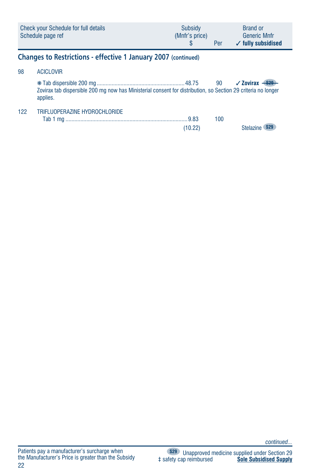|     | Check your Schedule for full details<br>Schedule page ref                                                                 | Subsidy<br>(Mnfr's price)<br>S. | Per | <b>Brand or</b><br><b>Generic Mnfr</b><br>$\checkmark$ fully subsidised |
|-----|---------------------------------------------------------------------------------------------------------------------------|---------------------------------|-----|-------------------------------------------------------------------------|
|     | Changes to Restrictions - effective 1 January 2007 (continued)                                                            |                                 |     |                                                                         |
| 98  | <b>ACICLOVIR</b>                                                                                                          |                                 |     |                                                                         |
|     | Zovirax tab dispersible 200 mg now has Ministerial consent for distribution, so Section 29 criteria no longer<br>applies. |                                 |     | $\sqrt{2}$ ovirax                                                       |
| 122 | TRIFI UOPERAZINE HYDROCHI ORIDE                                                                                           | (10.22)                         | 100 | Stelazi                                                                 |

*continued...*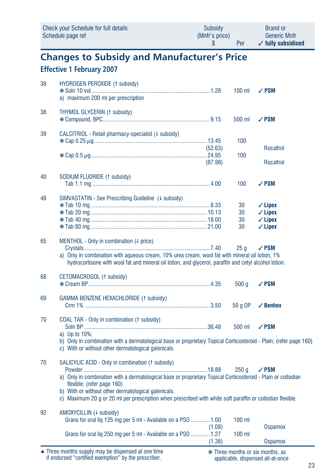|    | Check your Schedule for full details<br>Schedule page ref                                                                                                                                                                                                                                                                                                          | <b>Subsidy</b><br>(Mnfr's price)<br>\$ | Per                  | <b>Brand or</b><br><b>Generic Mnfr</b><br>$\checkmark$ fully subsidised              |
|----|--------------------------------------------------------------------------------------------------------------------------------------------------------------------------------------------------------------------------------------------------------------------------------------------------------------------------------------------------------------------|----------------------------------------|----------------------|--------------------------------------------------------------------------------------|
|    | <b>Changes to Subsidy and Manufacturer's Price</b>                                                                                                                                                                                                                                                                                                                 |                                        |                      |                                                                                      |
|    | <b>Effective 1 February 2007</b>                                                                                                                                                                                                                                                                                                                                   |                                        |                      |                                                                                      |
| 38 | HYDROGEN PEROXIDE (1 subsidy)<br>a) maximum 200 ml per prescription                                                                                                                                                                                                                                                                                                |                                        | $100$ ml             | $\sqrt{PSM}$                                                                         |
| 38 | THYMOL GLYCERIN (1 subsidy)                                                                                                                                                                                                                                                                                                                                        |                                        | 500 ml               | $\sqrt{PSM}$                                                                         |
| 39 | CALCITRIOL - Retail pharmacy-specialist (+ subsidy)                                                                                                                                                                                                                                                                                                                | (52.63)                                | 100                  | Rocaltrol                                                                            |
|    |                                                                                                                                                                                                                                                                                                                                                                    | (87.98)                                | 100                  | Rocaltrol                                                                            |
| 40 | SODIUM FLUORIDE (1 subsidy)                                                                                                                                                                                                                                                                                                                                        |                                        | 100                  | $\sqrt{PSM}$                                                                         |
| 48 | SIMVASTATIN - See Prescribing Guideline (+ subsidy)                                                                                                                                                                                                                                                                                                                |                                        | 30<br>30<br>30<br>30 | $\checkmark$ Lipex<br>$\checkmark$ Lipex<br>$\checkmark$ Lipex<br>$\checkmark$ Lipex |
| 65 | MENTHOL - Only in combination (4 price)<br>a) Only in combination with aqueous cream, 10% urea cream, wool fat with mineral oil lotion, 1%<br>hydrocortisone with wool fat and mineral oil lotion, and glycerol, paraffin and cetyl alcohol lotion.                                                                                                                |                                        | 25 <sub>q</sub>      | $\sqrt{PSM}$                                                                         |
| 68 | CETOMACROGOL (1 subsidy)                                                                                                                                                                                                                                                                                                                                           |                                        | 500q                 | $\sqrt{PSM}$                                                                         |
| 69 | GAMMA BENZENE HEXACHLORIDE (1 subsidy)                                                                                                                                                                                                                                                                                                                             |                                        | 50 g OP              | $\checkmark$ Benhex                                                                  |
| 70 | COAL TAR - Only in combination (1 subsidy)<br>a) Up to 10%:<br>b) Only in combination with a dermatological base or proprietary Topical Corticosteroid - Plain; (refer page 160)<br>c) With or without other dermatological galenicals.                                                                                                                            |                                        | 500 ml               | $\sqrt{PSM}$                                                                         |
| 70 | SALICYLIC ACID - Only in combination (1 subsidy)<br>a) Only in combination with a dermatological base or proprietary Topical Corticosteroid - Plain or collodian<br>flexible; (refer page 160)<br>b) With or without other dermatological galenicals.<br>c) Maximum 20 q or 20 ml per prescription when prescribed with white soft paraffin or collodian flexible. |                                        | 250 <sub>a</sub>     | $\sqrt{PSM}$                                                                         |
| 92 | AMOXYCILLIN (+ subsidy)<br>Grans for oral liq 125 mg per 5 ml - Available on a PSO  1.00<br>Grans for oral liq 250 mg per 5 ml - Available on a PSO  1.27                                                                                                                                                                                                          | (1.08)                                 | $100$ ml<br>$100$ ml | <b>Ospamox</b>                                                                       |
|    |                                                                                                                                                                                                                                                                                                                                                                    | (1.38)                                 |                      | <b>Ospamox</b>                                                                       |

Three months supply may be dispensed at one time if endorsed "certified exemption" by the prescriber. ▲ ❋ Three months or six months, as

applicable, dispensed all-at-once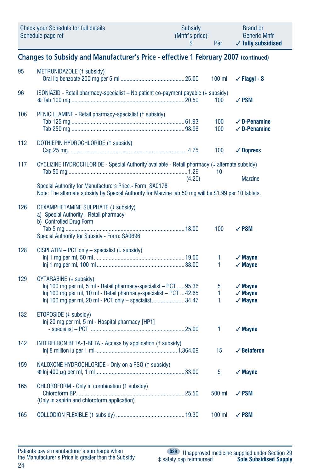| Check your Schedule for full details | Subsidy        | <b>Brand or</b>               |
|--------------------------------------|----------------|-------------------------------|
| Schedule page ref                    | (Mnfr's price) | <b>Generic Mnfr</b>           |
|                                      | Per            | $\checkmark$ fully subsidised |

**Changes to Subsidy and Manufacturer's Price - effective 1 February 2007 (continued)**

| 95  | METRONIDAZOLE (1 subsidy)                                                                                                                                                                                                                                                    | $100$ ml    | $\checkmark$ Flagyl - S                                  |
|-----|------------------------------------------------------------------------------------------------------------------------------------------------------------------------------------------------------------------------------------------------------------------------------|-------------|----------------------------------------------------------|
| 96  | ISONIAZID - Retail pharmacy-specialist - No patient co-payment payable (4 subsidy)                                                                                                                                                                                           | 100         | $\sqrt{PSM}$                                             |
| 106 | PENICILLAMINE - Retail pharmacy-specialist († subsidy)                                                                                                                                                                                                                       | 100<br>100  | $\checkmark$ D-Penamine<br>$\checkmark$ D-Penamine       |
| 112 | DOTHIEPIN HYDROCHLORIDE (1 subsidy)                                                                                                                                                                                                                                          | 100         | $\sqrt{\phantom{a}}$ Dopress                             |
| 117 | CYCLIZINE HYDROCHLORIDE - Special Authority available - Retail pharmacy (4 alternate subsidy)<br>(4.20)<br>Special Authority for Manufacturers Price - Form: SA0178<br>Note: The alternate subsidy by Special Authority for Marzine tab 50 mg will be \$1.99 per 10 tablets. | 10          | <b>Marzine</b>                                           |
| 126 | DEXAMPHETAMINE SULPHATE (4 subsidy)<br>a) Special Authority - Retail pharmacy<br>b) Controlled Drug Form<br>Special Authority for Subsidy - Form: SA0696                                                                                                                     | 100         | $\sqrt{PSM}$                                             |
| 128 | CISPLATIN - PCT only - specialist (+ subsidy)                                                                                                                                                                                                                                | 1<br>1      | $\sqrt{M}$ ayne<br>$\sqrt{M}$ ayne                       |
| 129 | CYTARABINE (+ subsidy)<br>Inj 100 mg per ml, 5 ml - Retail pharmacy-specialist - PCT  95.36<br>Inj 100 mg per ml, 10 ml - Retail pharmacy-specialist - PCT  42.65<br>Inj 100 mg per ml, 20 ml - PCT only - specialist34.47                                                   | 5<br>1<br>1 | $\sqrt{M}$ ayne<br>$\checkmark$ Mayne<br>$\sqrt{M}$ ayne |
| 132 | ETOPOSIDE (4 subsidy)<br>Inj 20 mg per ml, 5 ml - Hospital pharmacy [HP1]                                                                                                                                                                                                    | 1           | $\sqrt{M}$ ayne                                          |
| 142 | INTERFERON BETA-1-BETA - Access by application (1 subsidy)                                                                                                                                                                                                                   | 15          | $\checkmark$ Betaferon                                   |
| 159 | NALOXONE HYDROCHLORIDE - Only on a PSO (1 subsidy)                                                                                                                                                                                                                           | 5           | $\sqrt{M}$ ayne                                          |
| 165 | CHLOROFORM - Only in combination (1 subsidy)<br>(Only in aspirin and chloroform application)                                                                                                                                                                                 | 500 ml      | $\sqrt{PSM}$                                             |
| 165 |                                                                                                                                                                                                                                                                              | $100$ ml    | $\sqrt{PSM}$                                             |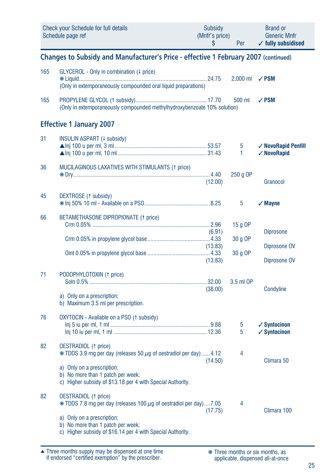|     | Check your Schedule for full details<br>Schedule page ref                                       | <b>Subsidy</b><br>(Mnfr's price)<br>S | Per        | <b>Brand or</b><br><b>Generic Mnfr</b><br>$\checkmark$ fully subsidised |
|-----|-------------------------------------------------------------------------------------------------|---------------------------------------|------------|-------------------------------------------------------------------------|
|     | Changes to Subsidy and Manufacturer's Price - effective 1 February 2007 (continued)             |                                       |            |                                                                         |
| 165 | GLYCEROL - Only in combination (4 price)                                                        |                                       | $2,000$ ml | $\sqrt{PSM}$                                                            |
|     | (Only in extemporaneously compounded oral liquid preparations)                                  |                                       |            |                                                                         |
| 165 | (Only in extemporaneously compounded methylhydroxybenzoate 10% solution)                        |                                       | 500 ml     | $\sqrt{PSM}$                                                            |
|     | <b>Effective 1 January 2007</b>                                                                 |                                       |            |                                                                         |
| 31  | INSULIN ASPART (+ subsidy)                                                                      |                                       |            |                                                                         |
|     |                                                                                                 |                                       | 5          | ✓ NovoRapid Penfill                                                     |
|     |                                                                                                 |                                       | 1          | √ NovoRapid                                                             |
| 36  | MUCILAGINOUS LAXATIVES WITH STIMULANTS (1 price)                                                |                                       |            |                                                                         |
|     |                                                                                                 |                                       | 250 g OP   |                                                                         |
|     |                                                                                                 | (12.00)                               |            | Granocol                                                                |
| 45  | DEXTROSE (1 subsidy)                                                                            |                                       |            |                                                                         |
|     |                                                                                                 |                                       | 5          | $\sqrt{M}$ ayne                                                         |
| 66  | BETAMETHASONE DIPROPIONATE (1 price)                                                            |                                       |            |                                                                         |
|     |                                                                                                 |                                       | 15 $g$ OP  |                                                                         |
|     |                                                                                                 | (6.91)                                |            | <b>Diprosone</b>                                                        |
|     |                                                                                                 |                                       | 30 g OP    |                                                                         |
|     |                                                                                                 | (13.83)                               | 30 g OP    | Diprosone OV                                                            |
|     |                                                                                                 | (13.83)                               |            | Diprosone OV                                                            |
|     |                                                                                                 |                                       |            |                                                                         |
| 71  | PODOPHYLOTOXIN (1 price)                                                                        |                                       |            |                                                                         |
|     |                                                                                                 | (38.00)                               | 3.5 ml OP  | Condyline                                                               |
|     | a) Only on a prescription;                                                                      |                                       |            |                                                                         |
|     | b) Maximum 3.5 ml per prescription.                                                             |                                       |            |                                                                         |
|     |                                                                                                 |                                       |            |                                                                         |
| 76  | OXYTOCIN - Available on a PSO (1 subsidy)                                                       |                                       | 5          | $\checkmark$ Syntocinon                                                 |
|     |                                                                                                 |                                       | 5          | $\checkmark$ Syntocinon                                                 |
|     |                                                                                                 |                                       |            |                                                                         |
| 82  | <b>OESTRADIOL</b> († price)                                                                     |                                       |            |                                                                         |
|     | $*$ TDDS 3.9 mg per day (releases 50 $\mu$ g of oestradiol per day)4.12                         | (14.50)                               | 4          | Climara 50                                                              |
|     | a) Only on a prescription;                                                                      |                                       |            |                                                                         |
|     | b) No more than 1 patch per week;                                                               |                                       |            |                                                                         |
|     | c) Higher subsidy of \$13.18 per 4 with Special Authority.                                      |                                       |            |                                                                         |
| 82  | <b>OESTRADIOL</b> († price)                                                                     |                                       |            |                                                                         |
|     | $*$ TDDS 7.8 mg per day (releases 100 $\mu$ g of oestradiol per day)7.05                        |                                       | 4          |                                                                         |
|     |                                                                                                 | (17.75)                               |            | Climara 100                                                             |
|     | a) Only on a prescription;                                                                      |                                       |            |                                                                         |
|     | b) No more than 1 patch per week;<br>c) Higher subsidy of \$16.14 per 4 with Special Authority. |                                       |            |                                                                         |
|     |                                                                                                 |                                       |            |                                                                         |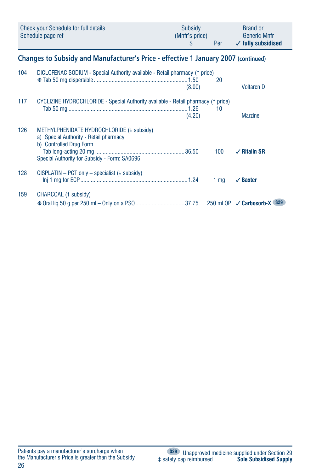|                                                                                    | Check your Schedule for full details<br>Schedule page ref                                                                                                      | Subsidy<br>(Mnfr's price)<br>\$ | Per             | <b>Brand or</b><br><b>Generic Mnfr</b><br>$\checkmark$ fully subsidised |  |
|------------------------------------------------------------------------------------|----------------------------------------------------------------------------------------------------------------------------------------------------------------|---------------------------------|-----------------|-------------------------------------------------------------------------|--|
| Changes to Subsidy and Manufacturer's Price - effective 1 January 2007 (continued) |                                                                                                                                                                |                                 |                 |                                                                         |  |
| 104                                                                                | DICLOFENAC SODIUM - Special Authority available - Retail pharmacy († price)                                                                                    | (8.00)                          | 20              | <b>Voltaren D</b>                                                       |  |
| 117                                                                                | CYCLIZINE HYDROCHLORIDE - Special Authority available - Retail pharmacy (1 price)                                                                              | (4.20)                          | 10              | <b>Marzine</b>                                                          |  |
| 126                                                                                | METHYLPHENIDATE HYDROCHLORIDE (+ subsidy)<br>a) Special Authority - Retail pharmacy<br>b) Controlled Drug Form<br>Special Authority for Subsidy - Form: SA0696 |                                 | 100             | $\sqrt{ }$ Ritalin SR                                                   |  |
| 128                                                                                | $CISPLATIN - PCT only - specialist (l-subsidy)$                                                                                                                |                                 | 1 <sub>mq</sub> | $\checkmark$ Baxter                                                     |  |
| 159                                                                                | CHARCOAL (1 subsidy)                                                                                                                                           |                                 |                 | 250 ml OP <b>√ Carbosorb-X</b> (\$29)                                   |  |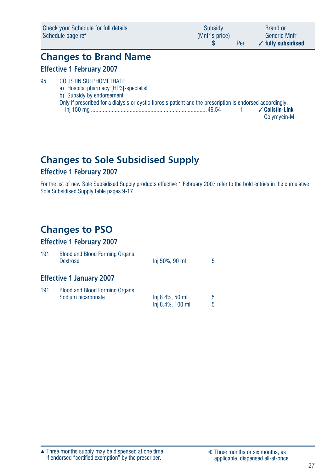| Check your Schedule for full details | Subsidy        | <b>Brand or</b>               |
|--------------------------------------|----------------|-------------------------------|
| Schedule page ref                    | (Mnfr's price) | <b>Generic Mnfr</b>           |
|                                      | Per            | $\checkmark$ fully subsidised |

### **Changes to Brand Name Effective 1 February 2007**

#### 95 COLISTIN SULPHOMETHATE a) Hospital pharmacy [HP3]-specialist b) Subsidy by endorsement Only if prescribed for a dialysis or cystic fibrosis patient and the prescription is endorsed accordingly. Inj 150 mg ..............................................................................49.54 1 ✓ **Colistin-Link** Colymycin-M

## **Changes to Sole Subsidised Supply**

#### **Effective 1 February 2007**

For the list of new Sole Subsidised Supply products effective 1 February 2007 refer to the bold entries in the cumulative Sole Subsidised Supply table pages 9-17.

## **Changes to PSO**

#### **Effective 1 February 2007**

| 191 | <b>Blood and Blood Forming Organs</b><br><b>Dextrose</b>    | Inj 50%, 90 ml                      | 5      |
|-----|-------------------------------------------------------------|-------------------------------------|--------|
|     | <b>Effective 1 January 2007</b>                             |                                     |        |
| 191 | <b>Blood and Blood Forming Organs</b><br>Sodium bicarbonate | Inj 8.4%, 50 ml<br>Inj 8.4%, 100 ml | 5<br>5 |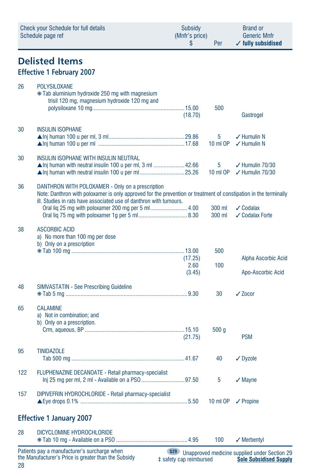|     | Check your Schedule for full details<br>Schedule page ref                                                                                                                                                                                                                                       | Subsidy<br>(Mnfr's price)<br>\$       | Per                    | <b>Brand or</b><br><b>Generic Mnfr</b><br>$\checkmark$ fully subsidised        |
|-----|-------------------------------------------------------------------------------------------------------------------------------------------------------------------------------------------------------------------------------------------------------------------------------------------------|---------------------------------------|------------------------|--------------------------------------------------------------------------------|
|     | <b>Delisted Items</b>                                                                                                                                                                                                                                                                           |                                       |                        |                                                                                |
|     | <b>Effective 1 February 2007</b>                                                                                                                                                                                                                                                                |                                       |                        |                                                                                |
| 26  | <b>POLYSILOXANE</b><br>* Tab aluminium hydroxide 250 mg with magnesium<br>trisil 120 mg, magnesium hydroxide 120 mg and                                                                                                                                                                         | (18.70)                               | 500                    | Gastrogel                                                                      |
| 30  | <b>INSULIN ISOPHANE</b>                                                                                                                                                                                                                                                                         |                                       | 5<br>10 ml OP          | $\checkmark$ Humulin N<br>$\checkmark$ Humulin N                               |
| 30  | INSULIN ISOPHANE WITH INSULIN NEUTRAL<br>$\triangle$ Inj human with neutral insulin 100 u per ml, 3 ml 42.66                                                                                                                                                                                    |                                       | 5<br>10 ml OP          | $\checkmark$ Humulin 70/30<br>$\checkmark$ Humulin 70/30                       |
| 36  | DANTHRON WITH POLOXAMER - Only on a prescription<br>Note: Danthron with poloxamer is only approved for the prevention or treatment of constipation in the terminally<br>ill. Studies in rats have associated use of danthron with tumours.<br>Oral lig 25 mg with poloxamer 200 mg per 5 ml4.00 |                                       | 300 ml                 | $\sqrt{\ }$ Codalax                                                            |
| 38  | <b>ASCORBIC ACID</b><br>a) No more than 100 mg per dose<br>b) Only on a prescription                                                                                                                                                                                                            | (17.25)<br>2.60                       | 300 ml<br>500<br>100   | ✔ Codalax Forte<br>Alpha Ascorbic Acid                                         |
| 48  |                                                                                                                                                                                                                                                                                                 | (3.45)                                |                        | Apo-Ascorbic Acid                                                              |
| 65  | <b>SIMVASTATIN - See Prescribing Guideline</b><br><b>CALAMINE</b><br>a) Not in combination; and<br>b) Only on a prescription.                                                                                                                                                                   |                                       | 30<br>500 <sub>g</sub> | $\sqrt{20}$ cor                                                                |
| 95  | <b>TINIDAZOLE</b>                                                                                                                                                                                                                                                                               | (21.75)                               | 40                     | <b>PSM</b><br>$\sqrt{}$ Dyzole                                                 |
| 122 | <b>FLUPHENAZINE DECANOATE - Retail pharmacy-specialist</b>                                                                                                                                                                                                                                      |                                       | 5                      | $\sqrt{M}$ Mayne                                                               |
| 157 | DIPIVEFRIN HYDROCHLORIDE - Retail pharmacy-specialist                                                                                                                                                                                                                                           |                                       | 10 ml OP               | $\sqrt{\frac{1}{1}}$ Propine                                                   |
|     | <b>Effective 1 January 2007</b>                                                                                                                                                                                                                                                                 |                                       |                        |                                                                                |
| 28  | DICYCLOMINE HYDROCHLORIDE                                                                                                                                                                                                                                                                       |                                       | 100                    | $\sqrt{}$ Merbentyl                                                            |
| 28  | Patients pay a manufacturer's surcharge when<br>the Manufacturer's Price is greater than the Subsidy                                                                                                                                                                                            | <b>S29</b><br># safety cap reimbursed |                        | Unapproved medicine supplied under Section 29<br><b>Sole Subsidised Supply</b> |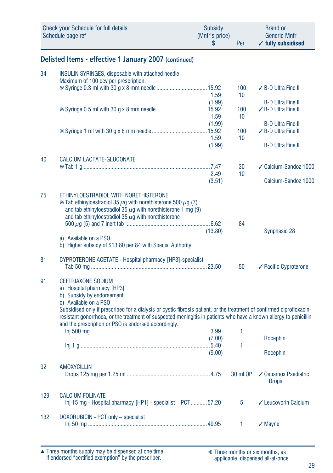| <b>Check your Schedule for full details</b><br>Schedule page ref |                                                                                                                                                                                                                                                                                                    | <b>Subsidy</b><br>(Mnfr's price)<br>\$ | Per          | <b>Brand or</b><br><b>Generic Mnfr</b><br>$\checkmark$ fully subsidised |
|------------------------------------------------------------------|----------------------------------------------------------------------------------------------------------------------------------------------------------------------------------------------------------------------------------------------------------------------------------------------------|----------------------------------------|--------------|-------------------------------------------------------------------------|
|                                                                  | Delisted Items - effective 1 January 2007 (continued)                                                                                                                                                                                                                                              |                                        |              |                                                                         |
| 34                                                               | <b>INSULIN SYRINGES, disposable with attached needle</b><br>Maximum of 100 dev per prescription.                                                                                                                                                                                                   |                                        | 100          | ✔ B-D Ultra Fine II                                                     |
|                                                                  |                                                                                                                                                                                                                                                                                                    | 1.59                                   | 10           |                                                                         |
|                                                                  |                                                                                                                                                                                                                                                                                                    | (1.99)<br>1.59                         | 100<br>10    | <b>B-D Ultra Fine II</b><br>✓ B-D Ultra Fine II                         |
|                                                                  |                                                                                                                                                                                                                                                                                                    | (1.99)<br>1.59                         | 100<br>10    | <b>B-D Ultra Fine II</b><br>✔ B-D Ultra Fine II                         |
|                                                                  |                                                                                                                                                                                                                                                                                                    | (1.99)                                 |              | <b>B-D Ultra Fine II</b>                                                |
| 40                                                               | CALCIUM LACTATE-GLUCONATE                                                                                                                                                                                                                                                                          | 2.49                                   | 30<br>10     | ✓ Calcium-Sandoz 1000                                                   |
|                                                                  |                                                                                                                                                                                                                                                                                                    | (3.51)                                 |              | Calcium-Sandoz 1000                                                     |
| 75                                                               | ETHINYLOESTRADIOL WITH NORETHISTERONE<br>$*$ Tab ethinyloestradiol 35 $\mu$ q with norethisterone 500 $\mu$ q (7)<br>and tab ethinyloestradiol 35 $\mu$ g with norethisterone 1 mg (9)<br>and tab ethinyloestradiol 35 $\mu$ g with norethisterone                                                 |                                        |              |                                                                         |
|                                                                  |                                                                                                                                                                                                                                                                                                    | (13.80)                                | 84           | Synphasic 28                                                            |
|                                                                  | a) Available on a PSO<br>b) Higher subsidy of \$13.80 per 84 with Special Authority                                                                                                                                                                                                                |                                        |              |                                                                         |
| 81                                                               | CYPROTERONE ACETATE - Hospital pharmacy [HP3]-specialist                                                                                                                                                                                                                                           |                                        | 50           | ✔ Pacific Cyproterone                                                   |
| 91                                                               | <b>CEFTRIAXONE SODIUM</b><br>a) Hospital pharmacy [HP3]<br>b) Subsidy by endorsement<br>c) Available on a PSO                                                                                                                                                                                      |                                        |              |                                                                         |
|                                                                  | Subsidised only if prescribed for a dialysis or cystic fibrosis patient, or the treatment of confirmed ciprofloxacin-<br>resistant gonorrhoea, or the treatment of suspected meningitis in patients who have a known allergy to penicillin<br>and the prescription or PSO is endorsed accordingly. |                                        |              |                                                                         |
|                                                                  |                                                                                                                                                                                                                                                                                                    | (7.00)                                 | 1            | Rocephin                                                                |
|                                                                  |                                                                                                                                                                                                                                                                                                    | (9.00)                                 | 1            | Rocephin                                                                |
| 92                                                               | <b>AMOXYCILLIN</b>                                                                                                                                                                                                                                                                                 |                                        | 30 ml OP     | ✔ Ospamox Paediatric<br><b>Drops</b>                                    |
| 129                                                              | <b>CALCIUM FOLINATE</b><br>Inj 15 mg - Hospital pharmacy [HP1] - specialist - PCT 57.20                                                                                                                                                                                                            |                                        | 5            | ✓ Leucovorin Calcium                                                    |
| 132                                                              | DOXORUBICIN - PCT only - specialist                                                                                                                                                                                                                                                                |                                        | $\mathbf{1}$ | $\sqrt{}$ Mayne                                                         |

Three months supply may be dispensed at one time if endorsed "certified exemption" by the prescriber. ▲ ❋ Three months or six months, as

applicable, dispensed all-at-once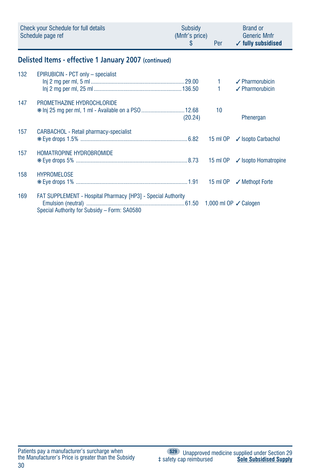|     | Check your Schedule for full details<br>Schedule page ref                                                           | Subsidy<br>(Mnfr's price)<br>\$ | Per                   | <b>Brand or</b><br><b>Generic Mnfr</b><br>$\checkmark$ fully subsidised |
|-----|---------------------------------------------------------------------------------------------------------------------|---------------------------------|-----------------------|-------------------------------------------------------------------------|
|     | Delisted Items - effective 1 January 2007 (continued)                                                               |                                 |                       |                                                                         |
| 132 | EPIRUBICIN - PCT only - specialist                                                                                  |                                 | $1 -$<br>$\mathbf{1}$ | $\checkmark$ Pharmorubicin<br>$\sqrt{\ }$ Pharmorubicin                 |
| 147 | PROMETHAZINE HYDROCHLORIDE<br>* Inj 25 mg per ml, 1 ml - Available on a PS0  12.68                                  | (20.24)                         | 10                    | Phenergan                                                               |
| 157 | CARBACHOL - Retail pharmacy-specialist                                                                              |                                 |                       |                                                                         |
| 157 | HOMATROPINE HYDROBROMIDE                                                                                            |                                 |                       | 15 ml OP √ Isopto Homatropine                                           |
| 158 | <b>HYPROMELOSE</b>                                                                                                  |                                 |                       | 15 ml OP √ Methopt Forte                                                |
| 169 | <b>FAT SUPPLEMENT - Hospital Pharmacy [HP3] - Special Authority</b><br>Special Authority for Subsidy - Form: SA0580 |                                 |                       |                                                                         |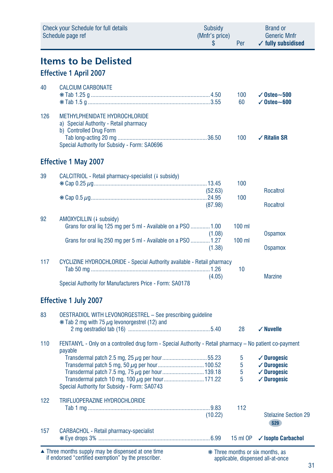|     | Check your Schedule for full details<br>Schedule page ref                                                                                                     | Subsidy<br>(Mnfr's price)<br>\$ | Per                  | <b>Brand or</b><br><b>Generic Mnfr</b><br>$\checkmark$ fully subsidised                              |
|-----|---------------------------------------------------------------------------------------------------------------------------------------------------------------|---------------------------------|----------------------|------------------------------------------------------------------------------------------------------|
|     | <b>Items to be Delisted</b><br><b>Effective 1 April 2007</b>                                                                                                  |                                 |                      |                                                                                                      |
| 40  | <b>CALCIUM CARBONATE</b>                                                                                                                                      |                                 | 100<br>60            | $\sqrt{0}$ steo $\sim$ 500<br>$\checkmark$ Osteo $\sim$ 600                                          |
| 126 | METHYLPHENIDATE HYDROCHLORIDE<br>a) Special Authority - Retail pharmacy<br>b) Controlled Drug Form<br>Special Authority for Subsidy - Form: SA0696            |                                 | 100                  | $\sqrt{ }$ Ritalin SR                                                                                |
|     | <b>Effective 1 May 2007</b>                                                                                                                                   |                                 |                      |                                                                                                      |
| 39  | CALCITRIOL - Retail pharmacy-specialist (+ subsidy)                                                                                                           | (52.63)<br>(87.98)              | 100<br>100           | Rocaltrol<br>Rocaltrol                                                                               |
| 92  | AMOXYCILLIN (4 subsidy)<br>Grans for oral liq 125 mg per 5 ml - Available on a PSO  1.00<br>Grans for oral liq 250 mg per 5 ml - Available on a PSO  1.27     | (1.08)<br>(1.38)                | $100$ ml<br>$100$ ml | <b>Ospamox</b><br><b>Ospamox</b>                                                                     |
| 117 | CYCLIZINE HYDROCHLORIDE - Special Authority available - Retail pharmacy<br>Special Authority for Manufacturers Price - Form: SA0178                           | (4.05)                          | 10                   | <b>Marzine</b>                                                                                       |
|     | <b>Effective 1 July 2007</b>                                                                                                                                  |                                 |                      |                                                                                                      |
| 83  | OESTRADIOL WITH LEVONORGESTREL - See prescribing guideline<br>$*$ Tab 2 mg with 75 $\mu$ g levonorgestrel (12) and                                            |                                 | 28                   | $\checkmark$ Nuvelle                                                                                 |
| 110 | FENTANYL - Only on a controlled drug form - Special Authority - Retail pharmacy - No patient co-payment                                                       |                                 |                      |                                                                                                      |
|     | payable<br>Transdermal patch 7.5 mg, 75 µg per hour 139.18<br>Transdermal patch 10 mg, 100 µg per hour 171.22<br>Special Authority for Subsidy - Form: SA0743 |                                 | 5<br>5<br>5          | $\checkmark$ Durogesic<br>$\checkmark$ Durogesic<br>$\checkmark$ Durogesic<br>$\checkmark$ durogesic |
| 122 | <b>TRIFLUOPERAZINE HYDROCHLORIDE</b>                                                                                                                          | (10.22)                         | 112                  | <b>Stelazine Section 29</b><br>S29                                                                   |
| 157 | CARBACHOL - Retail pharmacy-specialist                                                                                                                        |                                 | 15 ml OP             | ✓ Isopto Carbachol                                                                                   |

Three months supply may be dispensed at one time if endorsed "certified exemption" by the prescriber. ▲ ❋ Three months or six months, as

applicable, dispensed all-at-once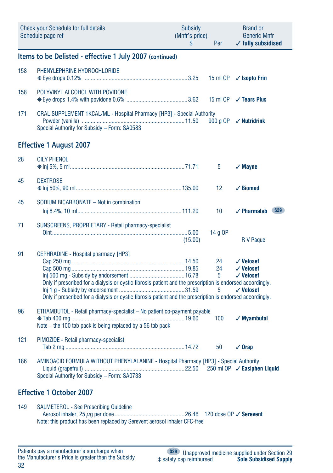|     | <b>Check your Schedule for full details</b><br>Schedule page ref                                                                                                                                                                                                 | Subsidy<br>(Mnfr's price)<br>\$ | Per                | <b>Brand or</b><br><b>Generic Mnfr</b><br>$\checkmark$ fully subsidised |
|-----|------------------------------------------------------------------------------------------------------------------------------------------------------------------------------------------------------------------------------------------------------------------|---------------------------------|--------------------|-------------------------------------------------------------------------|
|     | Items to be Delisted - effective 1 July 2007 (continued)                                                                                                                                                                                                         |                                 |                    |                                                                         |
| 158 | PHENYLEPHRINE HYDROCHLORIDE                                                                                                                                                                                                                                      |                                 | 15 ml OP           | $\checkmark$ Isopto Frin                                                |
| 158 | POLYVINYL ALCOHOL WITH POVIDONE                                                                                                                                                                                                                                  |                                 | 15 ml OP           | $\checkmark$ Tears Plus                                                 |
| 171 | ORAL SUPPLEMENT 1KCAL/ML - Hospital Pharmacy [HP3] - Special Authority<br>Special Authority for Subsidy - Form: SA0583                                                                                                                                           |                                 | 900 g OP           | $\checkmark$ Nutridrink                                                 |
|     | <b>Effective 1 August 2007</b>                                                                                                                                                                                                                                   |                                 |                    |                                                                         |
| 28  | <b>OILY PHENOL</b>                                                                                                                                                                                                                                               |                                 | 5                  | $\sqrt{M}$ ayne                                                         |
| 45  | <b>DEXTROSE</b>                                                                                                                                                                                                                                                  |                                 | 12                 | $\checkmark$ Biomed                                                     |
| 45  | SODIUM BICARBONATE - Not in combination                                                                                                                                                                                                                          |                                 | 10                 | <b>∕ Pharmalab</b> S29                                                  |
| 71  | SUNSCREENS, PROPRIETARY - Retail pharmacy-specialist                                                                                                                                                                                                             | (15.00)                         | 14 g OP            | R V Paque                                                               |
| 91  | CEPHRADINE - Hospital pharmacy [HP3]<br>Only if prescribed for a dialysis or cystic fibrosis patient and the prescription is endorsed accordingly.<br>Only if prescribed for a dialysis or cystic fibrosis patient and the prescription is endorsed accordingly. |                                 | 24<br>24<br>5<br>5 | $\checkmark$ Velosef<br>√ Velosef<br>$\checkmark$ Velosef<br>√ Velosef  |
| 96  | ETHAMBUTOL - Retail pharmacy-specialist - No patient co-payment payable<br>Note – the 100 tab pack is being replaced by a 56 tab pack                                                                                                                            |                                 | 100                | $\sqrt{M}$ yambutol                                                     |
| 121 | PIMOZIDE - Retail pharmacy-specialist                                                                                                                                                                                                                            |                                 | 50                 | $\sqrt{0}$ rap                                                          |
| 186 | AMINOACID FORMULA WITHOUT PHENYLALANINE - Hospital Pharmacy [HP3] - Special Authority<br>Special Authority for Subsidy - Form: SA0733                                                                                                                            |                                 |                    | 250 ml OP / Easiphen Liquid                                             |
|     | <b>Effective 1 October 2007</b>                                                                                                                                                                                                                                  |                                 |                    |                                                                         |
| 149 | <b>SALMETEROL - See Prescribing Guideline</b><br>Note: this product has been replaced by Serevent aerosol inhaler CFC-free                                                                                                                                       |                                 |                    |                                                                         |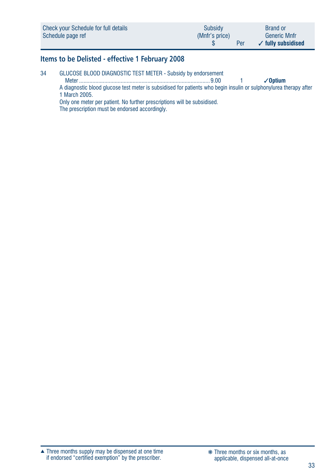| Check your Schedule for full details | Subsidy        | <b>Brand or</b>               |
|--------------------------------------|----------------|-------------------------------|
| Schedule page ref                    | (Mnfr's price) | <b>Generic Mnfr</b>           |
|                                      | Per            | $\checkmark$ fully subsidised |

### **Items to be Delisted - effective 1 February 2008**

| 34 | GLUCOSE BLOOD DIAGNOSTIC TEST METER - Subsidy by endorsement                                                      |  |                      |
|----|-------------------------------------------------------------------------------------------------------------------|--|----------------------|
|    | Meter                                                                                                             |  | $\mathcal{S}$ Optium |
|    | A diagnostic blood glucose test meter is subsidised for patients who begin insulin or sulphonylurea therapy after |  |                      |
|    | 1 March 2005.                                                                                                     |  |                      |

Only one meter per patient. No further prescriptions will be subsidised. The prescription must be endorsed accordingly.

Three months supply may be dispensed at one time if endorsed "certified exemption" by the prescriber. ▲ ❋ Three months or six months, as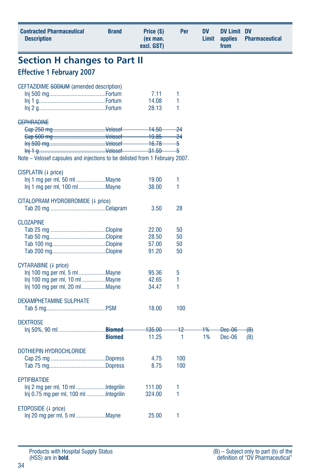| <b>Contracted Pharmaceutical</b><br><b>Description</b>                      | <b>Brand</b>  | Price (\$)<br>(ex man.<br>excl. GST) | Per     | DV<br>Limit | <b>DV Limit DV</b><br>applies<br>from | <b>Pharmaceutical</b> |
|-----------------------------------------------------------------------------|---------------|--------------------------------------|---------|-------------|---------------------------------------|-----------------------|
| <b>Section H changes to Part II</b>                                         |               |                                      |         |             |                                       |                       |
| <b>Effective 1 February 2007</b>                                            |               |                                      |         |             |                                       |                       |
| CEFTAZIDIME SODIUM (amended description)                                    |               |                                      |         |             |                                       |                       |
|                                                                             |               | 7.11                                 | 1       |             |                                       |                       |
|                                                                             |               | 14.08                                | 1       |             |                                       |                       |
|                                                                             |               | 28.13                                | 1       |             |                                       |                       |
| <b>GEPHRADINE</b>                                                           |               |                                      |         |             |                                       |                       |
|                                                                             |               | <del>14.50</del>                     | -24     |             |                                       |                       |
|                                                                             |               | <del>19.85</del>                     | $^{24}$ |             |                                       |                       |
|                                                                             |               | <del>16.78</del>                     | 5       |             |                                       |                       |
|                                                                             |               | 31.59                                | 5       |             |                                       |                       |
| Note – Velosef capsules and injections to be delisted from 1 February 2007. |               |                                      |         |             |                                       |                       |
|                                                                             |               |                                      |         |             |                                       |                       |
| CISPLATIN (+ price)                                                         |               |                                      |         |             |                                       |                       |
| Inj 1 mg per ml, 50 ml Mayne                                                |               | 19.00                                | 1       |             |                                       |                       |
| Inj 1 mg per ml, 100 ml Mayne                                               |               | 38.00                                | 1       |             |                                       |                       |
|                                                                             |               |                                      |         |             |                                       |                       |
| CITALOPRAM HYDROBROMIDE (4 price)                                           |               | 3.50                                 | 28      |             |                                       |                       |
|                                                                             |               |                                      |         |             |                                       |                       |
| <b>CLOZAPINE</b>                                                            |               |                                      |         |             |                                       |                       |
|                                                                             |               | 22.00                                | 50      |             |                                       |                       |
|                                                                             |               | 28.50                                | 50      |             |                                       |                       |
|                                                                             |               | 57.00                                | 50      |             |                                       |                       |
|                                                                             |               | 91.20                                | 50      |             |                                       |                       |
|                                                                             |               |                                      |         |             |                                       |                       |
| CYTARABINE (4 price)                                                        |               |                                      |         |             |                                       |                       |
|                                                                             |               | 95.36                                | 5       |             |                                       |                       |
| Inj 100 mg per ml, 10 ml Mayne                                              |               | 42.65                                | 1       |             |                                       |                       |
| Inj 100 mg per ml, 20 ml Mayne                                              |               | 34.47                                | 1       |             |                                       |                       |
|                                                                             |               |                                      |         |             |                                       |                       |
| DEXAMPHETAMINE SULPHATE                                                     |               |                                      |         |             |                                       |                       |
|                                                                             |               | 18.00                                | 100     |             |                                       |                       |
|                                                                             |               |                                      |         |             |                                       |                       |
| <b>DEXTROSE</b>                                                             |               |                                      |         |             |                                       |                       |
|                                                                             |               | <del>135.00</del>                    | 42      | 1%          | Dec-06                                | <del>(B)</del>        |
|                                                                             | <b>Biomed</b> | 11.25                                | 1       | 1%          | Dec-06                                | (B)                   |
|                                                                             |               |                                      |         |             |                                       |                       |
| DOTHIEPIN HYDROCHLORIDE                                                     |               |                                      |         |             |                                       |                       |
|                                                                             |               | 4.75                                 | 100     |             |                                       |                       |
|                                                                             |               | 8.75                                 | 100     |             |                                       |                       |
| <b>EPTIFIBATIDE</b>                                                         |               |                                      |         |             |                                       |                       |
|                                                                             |               |                                      | 1       |             |                                       |                       |
|                                                                             |               | 111.00                               |         |             |                                       |                       |
| Inj 0.75 mg per ml, 100 ml Integrilin                                       |               | 324.00                               | 1       |             |                                       |                       |
|                                                                             |               |                                      |         |             |                                       |                       |
| ETOPOSIDE (4 price)                                                         |               | 25.00                                | 1       |             |                                       |                       |
|                                                                             |               |                                      |         |             |                                       |                       |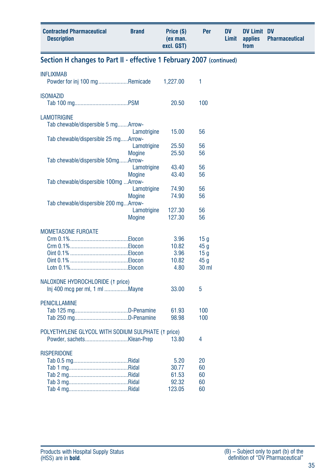| <b>Contracted Pharmaceutical</b><br><b>Description</b>               | <b>Brand</b>                 | Price (\$)<br>(ex man.<br>excl. GST) | Per                                       | <b>DV</b><br>Limit | <b>DV Limit DV</b><br>applies<br>from | <b>Pharmaceutical</b> |
|----------------------------------------------------------------------|------------------------------|--------------------------------------|-------------------------------------------|--------------------|---------------------------------------|-----------------------|
| Section H changes to Part II - effective 1 February 2007 (continued) |                              |                                      |                                           |                    |                                       |                       |
| <b>INFLIXIMAB</b><br>Powder for inj 100 mgRemicade                   |                              | 1,227.00                             | 1                                         |                    |                                       |                       |
| <b>ISONIAZID</b>                                                     |                              | 20.50                                | 100                                       |                    |                                       |                       |
| <b>LAMOTRIGINE</b><br>Tab chewable/dispersible 5 mgArrow-            | Lamotrigine                  | 15.00                                | 56                                        |                    |                                       |                       |
| Tab chewable/dispersible 25 mgArrow-                                 | Lamotrigine                  | 25.50                                | 56                                        |                    |                                       |                       |
| Tab chewable/dispersible 50mgArrow-                                  | <b>Mogine</b>                | 25.50                                | 56                                        |                    |                                       |                       |
|                                                                      | Lamotrigine<br><b>Mogine</b> | 43.40<br>43.40                       | 56<br>56                                  |                    |                                       |                       |
| Tab chewable/dispersible 100mg Arrow-                                | Lamotrigine<br><b>Mogine</b> | 74.90<br>74.90                       | 56<br>56                                  |                    |                                       |                       |
| Tab chewable/dispersible 200 mgArrow-                                | Lamotrigine<br><b>Mogine</b> | 127.30<br>127.30                     | 56<br>56                                  |                    |                                       |                       |
| <b>MOMETASONE FUROATE</b>                                            |                              | 3.96                                 | 15 <sub>g</sub>                           |                    |                                       |                       |
|                                                                      |                              | 10.82<br>3.96<br>10.82               | 45 <sub>g</sub><br>15g<br>45 <sub>g</sub> |                    |                                       |                       |
|                                                                      |                              | 4.80                                 | 30 <sub>ml</sub>                          |                    |                                       |                       |
| NALOXONE HYDROCHLORIDE (1 price)<br>Inj 400 mcg per ml, 1 ml Mayne   |                              | 33.00                                | 5                                         |                    |                                       |                       |
| <b>PENICILLAMINE</b>                                                 |                              | 61.93<br>98.98                       | 100<br>100                                |                    |                                       |                       |
| POLYETHYLENE GLYCOL WITH SODIUM SULPHATE (1 price)                   |                              | 13.80                                | 4                                         |                    |                                       |                       |
| <b>RISPERIDONE</b>                                                   |                              | 5.20<br>30.77<br>61.53<br>92.32      | 20<br>60<br>60<br>60                      |                    |                                       |                       |
|                                                                      |                              | 123.05                               | 60                                        |                    |                                       |                       |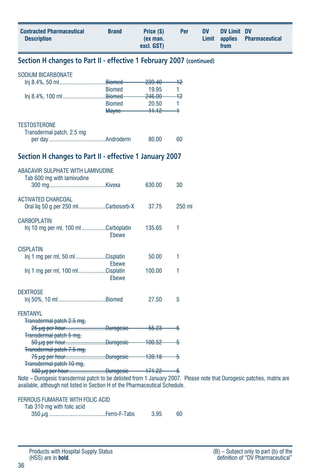| <b>Contracted Pharmaceutical</b><br><b>Description</b>                                                                                                                                               | <b>Brand</b>                                   | Price (\$)<br>(ex man.<br>excl. GST)                              | Per                       | <b>DV</b><br>Limit | <b>DV Limit DV</b><br>applies<br>from | <b>Pharmaceutical</b> |
|------------------------------------------------------------------------------------------------------------------------------------------------------------------------------------------------------|------------------------------------------------|-------------------------------------------------------------------|---------------------------|--------------------|---------------------------------------|-----------------------|
| Section H changes to Part II - effective 1 February 2007 (continued)                                                                                                                                 |                                                |                                                                   |                           |                    |                                       |                       |
| <b>SODIUM BICARBONATE</b>                                                                                                                                                                            | <b>Biomed</b><br><b>Biomed</b><br><b>Mayne</b> | <del>239.40</del><br>19.95<br>246.00<br>20.50<br><del>11.12</del> | 42<br>1<br>$+2$<br>1<br>4 |                    |                                       |                       |
| <b>TESTOSTERONE</b><br>Transdermal patch, 2.5 mg                                                                                                                                                     |                                                | 80.00                                                             | 60                        |                    |                                       |                       |
| Section H changes to Part II - effective 1 January 2007                                                                                                                                              |                                                |                                                                   |                           |                    |                                       |                       |
| ABACAVIR SULPHATE WITH LAMIVUDINE<br>Tab 600 mg with lamivudine                                                                                                                                      |                                                | 630.00                                                            | 30                        |                    |                                       |                       |
| <b>ACTIVATED CHARCOAL</b><br>Oral liq 50 g per 250 ml Carbosorb-X                                                                                                                                    |                                                | 37.75                                                             | 250 ml                    |                    |                                       |                       |
| <b>CARBOPLATIN</b><br>Inj 10 mg per ml, 100 ml Carboplatin                                                                                                                                           | Ebewe                                          | 135.65                                                            | 1                         |                    |                                       |                       |
| <b>CISPLATIN</b><br>lni 1 mg per ml, 50 ml Cisplatin                                                                                                                                                 | <b>Ebewe</b>                                   | 50.00                                                             | 1                         |                    |                                       |                       |
| Inj 1 mg per ml, 100 ml Cisplatin                                                                                                                                                                    | Ebewe                                          | 100.00                                                            | 1                         |                    |                                       |                       |
| <b>DEXTROSE</b><br>Inj 50%, 10 mlBiomed                                                                                                                                                              |                                                | 27.50                                                             | 5                         |                    |                                       |                       |
| <b>FENTANYL</b><br>Transdermal patch 2.5 mg,<br>25 µg per hourDurogesic                                                                                                                              |                                                | <del>55.23</del>                                                  | -5                        |                    |                                       |                       |
| <b>Transdermal patch 5 mg,</b><br><del>50 μg per hourDurogesic</del><br>Transdermal patch 7.5 mg,                                                                                                    |                                                | $-100.52-$                                                        | —5                        |                    |                                       |                       |
| 75 µg per hourDurogesic<br>Transdermal patch 10 mg,                                                                                                                                                  |                                                | <del>- 139.18   5</del>                                           |                           |                    |                                       |                       |
| Note - Durogesic transdermal patch to be delisted from 1 January 2007. Please note that Durogesic patches, matrix are<br>available, although not listed in Section H of the Pharmaceutical Schedule. |                                                |                                                                   |                           |                    |                                       |                       |

|  | FERROUS FUMARATE WITH FOLIC ACID |  |  |  |
|--|----------------------------------|--|--|--|
|--|----------------------------------|--|--|--|

|  |  |  | Tab 310 mg with folic acid |
|--|--|--|----------------------------|
|--|--|--|----------------------------|

|  |  | 3.95 |  |
|--|--|------|--|
|--|--|------|--|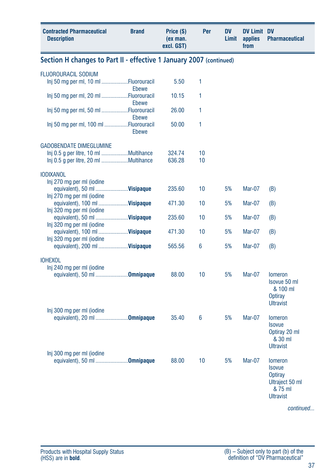| <b>Contracted Pharmaceutical</b><br><b>Description</b>              | <b>Brand</b>   | Price (\$)<br>(ex man.<br>excl. GST) | Per | <b>DV</b><br>Limit | <b>DV Limit DV</b><br>applies<br>from | <b>Pharmaceutical</b>                                                            |
|---------------------------------------------------------------------|----------------|--------------------------------------|-----|--------------------|---------------------------------------|----------------------------------------------------------------------------------|
| Section H changes to Part II - effective 1 January 2007 (continued) |                |                                      |     |                    |                                       |                                                                                  |
| <b>FLUOROURACIL SODIUM</b><br>Inj 50 mg per ml, 10 ml Fluorouracil  |                | 5.50                                 | 1   |                    |                                       |                                                                                  |
| Inj 50 mg per ml, 20 ml Fluorouracil                                | Ebewe<br>Ebewe | 10.15                                | 1   |                    |                                       |                                                                                  |
| Inj 50 mg per ml, 50 ml Fluorouracil                                | Ebewe          | 26.00                                | 1   |                    |                                       |                                                                                  |
| Inj 50 mg per ml, 100 ml Fluorouracil                               | <b>Ebewe</b>   | 50.00                                | 1   |                    |                                       |                                                                                  |
| <b>GADOBENDATE DIMEGLUMINE</b>                                      |                |                                      |     |                    |                                       |                                                                                  |
| Inj 0.5 g per litre, 10 ml Multihance                               |                | 324.74                               | 10  |                    |                                       |                                                                                  |
|                                                                     |                | 636.28                               | 10  |                    |                                       |                                                                                  |
| <b>IODIXANOL</b>                                                    |                |                                      |     |                    |                                       |                                                                                  |
| Inj 270 mg per ml (iodine                                           |                |                                      |     |                    |                                       |                                                                                  |
| equivalent), 50 ml  Visipaque                                       |                | 235.60                               | 10  | 5%                 | <b>Mar-07</b>                         | (B)                                                                              |
| Inj 270 mg per ml (iodine                                           |                |                                      |     |                    |                                       |                                                                                  |
| equivalent), 100 ml  Visipaque                                      |                | 471.30                               | 10  | 5%                 | <b>Mar-07</b>                         | (B)                                                                              |
| Inj 320 mg per ml (iodine                                           |                |                                      |     |                    |                                       |                                                                                  |
| equivalent), 50 ml  Visipaque                                       |                | 235.60                               | 10  | 5%                 | <b>Mar-07</b>                         | (B)                                                                              |
| Inj 320 mg per ml (iodine                                           |                |                                      |     |                    |                                       |                                                                                  |
| equivalent), 100 ml  Visipaque                                      |                | 471.30                               | 10  | 5%                 | Mar-07                                | (B)                                                                              |
| Inj 320 mg per ml (iodine                                           |                |                                      |     |                    |                                       |                                                                                  |
| equivalent), 200 ml  Visipaque                                      |                | 565.56                               | 6   | 5%                 | <b>Mar-07</b>                         | (B)                                                                              |
| <b>IOHEXOL</b>                                                      |                |                                      |     |                    |                                       |                                                                                  |
| Inj 240 mg per ml (iodine                                           |                | 88.00                                | 10  | 5%                 | Mar-07                                |                                                                                  |
| equivalent), 50 ml Omnipaque                                        |                |                                      |     |                    |                                       | <b>lomeron</b><br>Isovue 50 ml<br>& 100 ml<br><b>Optiray</b><br><b>Ultravist</b> |
| Inj 300 mg per ml (iodine                                           |                | 35.40                                | 6   | 5%                 | <b>Mar-07</b>                         |                                                                                  |
| equivalent), 20 ml 0mnipaque<br>Inj 300 mg per ml (iodine           |                |                                      |     |                    |                                       | <b>lomeron</b><br><b>Isovue</b><br>Optiray 20 ml<br>& 30 ml<br><b>Ultravist</b>  |
| equivalent), 50 ml 0mnipaque                                        |                | 88.00                                | 10  | 5%                 | <b>Mar-07</b>                         | <b>lomeron</b><br><b>Isovue</b>                                                  |
|                                                                     |                |                                      |     |                    |                                       | Optiray<br>Ultraject 50 ml<br>& 75 ml<br><b>Ultravist</b>                        |
|                                                                     |                |                                      |     |                    |                                       | continued                                                                        |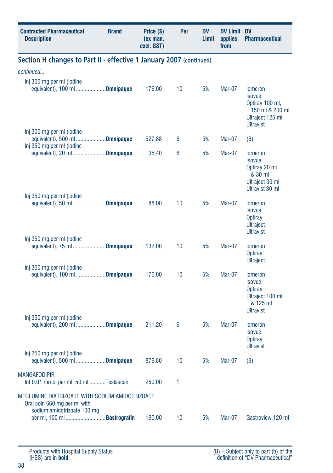| <b>Contracted Pharmaceutical</b><br><b>Description</b>                                                                                        | <b>Brand</b> | Price (\$)<br>(ex man.<br>excl. GST) | Per | <b>DV</b><br>Limit | <b>DV Limit DV</b><br>applies<br>from | <b>Pharmaceutical</b>                                                                                         |  |  |
|-----------------------------------------------------------------------------------------------------------------------------------------------|--------------|--------------------------------------|-----|--------------------|---------------------------------------|---------------------------------------------------------------------------------------------------------------|--|--|
| Section H changes to Part II - effective 1 January 2007 (continued)                                                                           |              |                                      |     |                    |                                       |                                                                                                               |  |  |
| continued                                                                                                                                     |              |                                      |     |                    |                                       |                                                                                                               |  |  |
| Inj 300 mg per ml (iodine<br>equivalent), 100 ml Omnipaque                                                                                    |              | 176.00                               | 10  | 5%                 | Mar-07                                | <b>lomeron</b><br><b>Isovue</b><br>Optiray 100 ml,<br>150 ml & 200 ml<br>Ultraject 125 ml<br><b>Ultravist</b> |  |  |
| Inj 300 mg per ml (iodine<br>equivalent), 500 ml <b>Omnipaque</b><br>Inj 350 mg per ml (iodine                                                |              | 527.88                               | 6   | 5%                 | Mar-07                                | (B)                                                                                                           |  |  |
| equivalent), 20 ml Omnipaque<br>Inj 350 mg per ml (iodine                                                                                     |              | 35.40                                | 6   | 5%                 | Mar-07                                | <b>Iomeron</b><br>Isovue<br>Optiray 20 ml<br>& 30 ml<br>Ultraject 30 ml<br>Ultravist 30 ml                    |  |  |
| equivalent), 50 ml Omnipaque                                                                                                                  |              | 88.00                                | 10  | 5%                 | Mar-07                                | <b>lomeron</b><br><b>Isovue</b><br><b>Optiray</b><br><b>Ultraject</b><br><b>Ultravist</b>                     |  |  |
| Inj 350 mg per ml (iodine<br>equivalent), 75 ml Omnipaque                                                                                     |              | 132.00                               | 10  | 5%                 | Mar-07                                | <b>lomeron</b><br><b>Optiray</b><br><b>Ultraject</b>                                                          |  |  |
| Inj 350 mg per ml (iodine<br>equivalent), 100 ml Omnipaque                                                                                    |              | 176.00                               | 10  | 5%                 | Mar-07                                | <b>lomeron</b><br><b>Isovue</b><br>Optiray<br>Ultraject 100 ml<br>& 125 ml<br><b>Ultravist</b>                |  |  |
| Inj 350 mg per ml (iodine<br>equivalent), 200 ml Omnipaque                                                                                    |              | 211.20                               | 6   | 5%                 | Mar-07                                | <b>Iomeron</b><br><b>Isovue</b><br><b>Optiray</b><br><b>Ultravist</b>                                         |  |  |
| Inj 350 mg per ml (iodine<br>equivalent), 500 ml <b>Omnipaque</b>                                                                             |              | 879.80                               | 10  | 5%                 | Mar-07                                | (B)                                                                                                           |  |  |
| <b>MANGAFODIPIR</b><br>Inf 0.01 mmol per ml, 50 ml Teslascan                                                                                  |              | 250.00                               | 1   |                    |                                       |                                                                                                               |  |  |
| MEGLUMINE DIATRIZOATE WITH SODIUM AMIDOTRIZOATE<br>Oral soln 660 mg per ml with<br>sodium amidotrizoate 100 mg<br>per ml, 100 ml Gastrografin |              | 190.00                               | 10  | 5%                 | Mar-07                                | Gastroview 120 ml                                                                                             |  |  |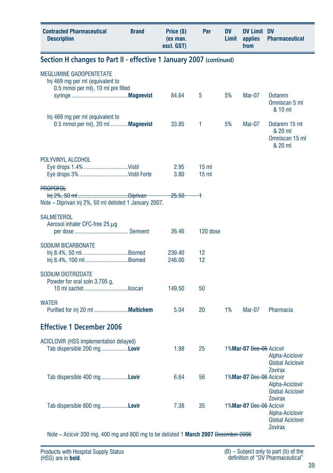| <b>Contracted Pharmaceutical</b><br><b>Description</b>                                                   | <b>Brand</b> | Price (\$)<br>(ex man.<br>excl. GST) | Per                                | DV<br>Limit | <b>DV Limit DV</b><br>applies<br>from | <b>Pharmaceutical</b>                                                          |
|----------------------------------------------------------------------------------------------------------|--------------|--------------------------------------|------------------------------------|-------------|---------------------------------------|--------------------------------------------------------------------------------|
| Section H changes to Part II - effective 1 January 2007 (continued)                                      |              |                                      |                                    |             |                                       |                                                                                |
| <b>MEGLUMINE GADOPENTETATE</b><br>Inj 469 mg per ml (equivalent to<br>0.5 mmol per ml), 10 ml pre filled |              |                                      |                                    |             |                                       |                                                                                |
|                                                                                                          |              | 84.64                                | 5                                  | 5%          | Mar-07                                | <b>Dotarem</b><br>Omniscan 5 ml<br>& 10 ml                                     |
| Inj 469 mg per ml (equivalent to<br>0.5 mmol per ml), 20 ml <b>Magnevist</b>                             |              | 33.85                                | 1                                  | 5%          | Mar-07                                | Dotarem 15 ml<br>& 20 ml<br>Omniscan 15 ml<br>& 20 ml                          |
| POLYVINYL ALCOHOL                                                                                        |              |                                      |                                    |             |                                       |                                                                                |
|                                                                                                          |              | 2.95<br>3.80                         | 15 <sub>m</sub><br>15 <sub>m</sub> |             |                                       |                                                                                |
| PROPOFOL                                                                                                 |              |                                      |                                    |             |                                       |                                                                                |
| Note - Diprivan inj 2%, 50 ml delisted 1 January 2007.                                                   |              | <del>25.50</del>                     | 4                                  |             |                                       |                                                                                |
| <b>SALMETEROL</b><br>Aerosol inhaler CFC-free 25 $\mu$ q                                                 |              |                                      |                                    |             |                                       |                                                                                |
|                                                                                                          |              | 26.46                                | 120 dose                           |             |                                       |                                                                                |
| <b>SODIUM BICARBONATE</b><br>Inj 8.4%, 50 mlBiomed                                                       |              | 239.40                               | 12                                 |             |                                       |                                                                                |
| Inj 8.4%, 100 mlBiomed                                                                                   |              | 246.00                               | 12                                 |             |                                       |                                                                                |
| SODIUM DIOTRIZOATE<br>Powder for oral soln 3.705 q.                                                      |              |                                      |                                    |             |                                       |                                                                                |
| 10 ml sachetloscan                                                                                       |              | 149.50                               | 50                                 |             |                                       |                                                                                |
| <b>WATER</b>                                                                                             |              | 5.04                                 | 20                                 | 1%          | <b>Mar-07</b>                         | Pharmacia                                                                      |
| <b>Effective 1 December 2006</b>                                                                         |              |                                      |                                    |             |                                       |                                                                                |
| ACICLOVIR (HSS implementation delayed)<br>Tab dispersible 200 mg Lovir                                   |              | 1.98                                 | 25                                 |             | 1%Mar-07 Dec-06 Acicvir               | Alpha-Aciclovir<br><b>Global Aciclovir</b>                                     |
| Tab dispersible 400 mg <b>Lovir</b>                                                                      |              | 6.64                                 | 56                                 |             | 1%Mar-07 Dec-06 Acicvir               | <b>Zovirax</b><br>Alpha-Aciclovir<br><b>Global Aciclovir</b>                   |
| Tab dispersible 800 mg Lovir                                                                             |              | 7.38                                 | 35                                 |             | 1%Mar-07 Dec-06 Acicvir               | <b>Zovirax</b><br>Alpha-Aciclovir<br><b>Global Aciclovir</b><br><b>Zovirax</b> |

Note – Acicvir 200 mg, 400 mg and 800 mg to be delisted 1 **March 2007** December 2006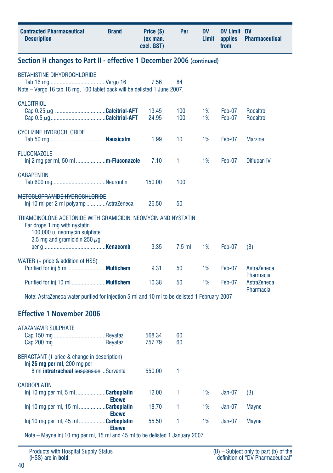| <b>Contracted Pharmaceutical</b><br><b>Description</b>                                                                                                              | <b>Brand</b> | Price (\$)<br>(ex man.<br>excl. GST) | Per        | <b>DV</b><br>Limit | <b>DV Limit DV</b><br>applies<br>from | <b>Pharmaceutical</b>    |
|---------------------------------------------------------------------------------------------------------------------------------------------------------------------|--------------|--------------------------------------|------------|--------------------|---------------------------------------|--------------------------|
| Section H changes to Part II - effective 1 December 2006 (continued)                                                                                                |              |                                      |            |                    |                                       |                          |
| <b>BETAHISTINE DIHYDROCHLORIDE</b><br>Note - Vergo 16 tab 16 mg, 100 tablet pack will be delisted 1 June 2007.                                                      |              | 7.56                                 | 84         |                    |                                       |                          |
| <b>CALCITRIOL</b>                                                                                                                                                   |              | 13.45<br>24.95                       | 100<br>100 | 1%<br>1%           | Feb-07<br>Feb-07                      | Rocaltrol<br>Rocaltrol   |
| <b>CYCLIZINE HYDROCHLORIDE</b>                                                                                                                                      |              | 1.99                                 | 10         | 1%                 | Feb-07                                | <b>Marzine</b>           |
| <b>FLUCONAZOLE</b><br>Inj 2 mg per ml, 50 ml <b>m-Fluconazole</b>                                                                                                   |              | 7.10                                 | 1          | 1%                 | Feb-07                                | Diflucan IV              |
| <b>GABAPENTIN</b>                                                                                                                                                   |              | 150.00                               | 100        |                    |                                       |                          |
| METOCLOPRAMIDE HYDROCHLORIDE<br>Inj 10 ml per 2 ml polyamp AstraZeneca                                                                                              |              | <del>-26.50 -</del>                  | -50        |                    |                                       |                          |
| TRIAMCINOLONE ACETONIDE WITH GRAMICIDIN, NEOMYCIN AND NYSTATIN<br>Ear drops 1 mg with nystatin<br>100,000 u, neomycin sulphate<br>2.5 mg and gramicidin 250 $\mu$ g |              | 3.35                                 | $7.5$ ml   | 1%                 | Feb-07                                | (B)                      |
| WATER (4 price & addition of HSS)                                                                                                                                   |              |                                      |            |                    |                                       |                          |
|                                                                                                                                                                     |              | 9.31                                 | 50         | 1%                 | Feb-07                                | AstraZeneca<br>Pharmacia |
|                                                                                                                                                                     |              | 10.38                                | 50         | 1%                 | Feb-07                                | AstraZeneca<br>Pharmacia |
| Note: AstraZeneca water purified for injection 5 ml and 10 ml to be delisted 1 February 2007                                                                        |              |                                      |            |                    |                                       |                          |
| <b>Effective 1 November 2006</b>                                                                                                                                    |              |                                      |            |                    |                                       |                          |
| <b>ATAZANAVIR SULPHATE</b>                                                                                                                                          |              | 568.34<br>757.79                     | 60<br>60   |                    |                                       |                          |
| BERACTANT (4 price & change in description)<br>Inj 25 mg per ml, 200 mg per<br>8 ml intratracheal suspension  Survanta                                              |              | 550.00                               | 1          |                    |                                       |                          |
| <b>CARBOPLATIN</b>                                                                                                                                                  |              |                                      |            |                    |                                       |                          |
| Inj 10 mg per ml, 5 ml Carboplatin                                                                                                                                  | <b>Ebewe</b> | 12.00                                | 1          | 1%                 | $Jan-07$                              | (B)                      |
| Inj 10 mg per ml, 15 ml Carboplatin                                                                                                                                 |              | 18.70                                | 1          | 1%                 | $Jan-07$                              | <b>Mayne</b>             |

 **Ebewe** Note – Mayne inj 10 mg per ml, 15 ml and 45 ml to be delisted 1 January 2007.

**Ebewe**

Inj 10 mg per ml, 45 ml ..................**Carboplatin** 55.50 1 1% Jan-07 Mayne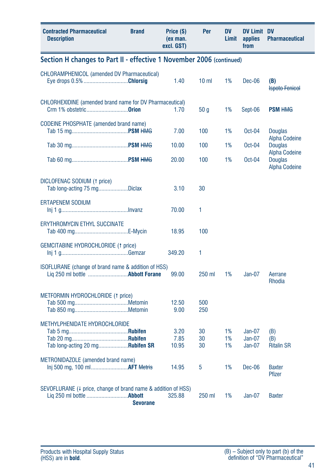| <b>Contracted Pharmaceutical</b><br><b>Description</b>                                    | <b>Brand</b>    | Price (\$)<br>(ex man.<br>excl. GST) | Per             | <b>DV</b><br>Limit | <b>DV Limit DV</b><br>applies<br>from | <b>Pharmaceutical</b>                  |
|-------------------------------------------------------------------------------------------|-----------------|--------------------------------------|-----------------|--------------------|---------------------------------------|----------------------------------------|
| Section H changes to Part II - effective 1 November 2006 (continued)                      |                 |                                      |                 |                    |                                       |                                        |
| <b>CHLORAMPHENICOL (amended DV Pharmaceutical)</b><br>Eye drops 0.5% Chlorsig             |                 | 1.40                                 | 10 <sub>m</sub> | 1%                 | Dec-06                                | (B)<br><b>Ispoto Fenicol</b>           |
| CHLORHEXIDINE (amended brand name for DV Pharmaceutical)<br>Crm 1% obstetric <b>Orion</b> |                 | 1.70                                 | 50 <sub>g</sub> | 1%                 | Sept-06                               | <b>PSM HMG</b>                         |
| <b>CODEINE PHOSPHATE</b> (amended brand name)                                             |                 | 7.00                                 | 100             | 1%                 | $Oct-04$                              | <b>Douglas</b><br><b>Alpha Codeine</b> |
|                                                                                           |                 | 10.00                                | 100             | 1%                 | Oct-04                                | <b>Douglas</b><br><b>Alpha Codeine</b> |
|                                                                                           |                 | 20.00                                | 100             | 1%                 | $Oct-04$                              | <b>Douglas</b><br><b>Alpha Codeine</b> |
| DICLOFENAC SODIUM (1 price)<br>Tab long-acting 75 mgDiclax                                |                 | 3.10                                 | 30              |                    |                                       |                                        |
| <b>ERTAPENEM SODIUM</b>                                                                   |                 | 70.00                                | 1               |                    |                                       |                                        |
| ERYTHROMYCIN ETHYL SUCCINATE                                                              |                 | 18.95                                | 100             |                    |                                       |                                        |
| <b>GEMCITABINE HYDROCHLORIDE (1 price)</b>                                                |                 | 349.20                               | 1               |                    |                                       |                                        |
| ISOFLURANE (change of brand name & addition of HSS)                                       |                 | 99.00                                | 250 ml          | 1%                 | $Jan-07$                              | Aerrane<br>Rhodia                      |
| METFORMIN HYDROCHLORIDE (1 price)                                                         |                 | 12.50<br>9.00                        | 500<br>250      |                    |                                       |                                        |
| METHYLPHENIDATE HYDROCHLORIDE<br>Tab long-acting 20 mg <b>Rubifen SR</b>                  |                 | 3.20<br>7.85<br>10.95                | 30<br>30<br>30  | 1%<br>1%<br>1%     | $Jan-07$<br>$Jan-07$<br>Jan-07        | (B)<br>(B)<br><b>Ritalin SR</b>        |
| METRONIDAZOLE (amended brand name)<br>Inj 500 mg, 100 ml AFT Metris                       |                 | 14.95                                | 5               | 1%                 | Dec-06                                | <b>Baxter</b><br><b>Pfizer</b>         |
| SEVOFLURANE (4 price, change of brand name & addition of HSS)                             | <b>Sevorane</b> | 325.88                               | 250 ml          | 1%                 | Jan-07                                | <b>Baxter</b>                          |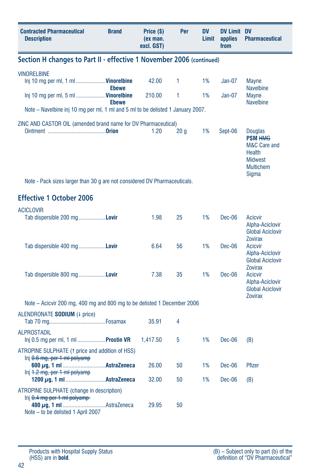| <b>Contracted Pharmaceutical</b><br><b>Brand</b><br><b>Description</b>                             | Price (\$)<br>(ex man.<br>excl. GST) | Per | <b>DV</b><br>Limit | DV Limit DV<br>applies<br>from | <b>Pharmaceutical</b>                                                                                                              |
|----------------------------------------------------------------------------------------------------|--------------------------------------|-----|--------------------|--------------------------------|------------------------------------------------------------------------------------------------------------------------------------|
| Section H changes to Part II - effective 1 November 2006 (continued)                               |                                      |     |                    |                                |                                                                                                                                    |
| <b>VINORELBINE</b><br>Inj 10 mg per ml, 1 ml <b>Vinorelbine</b>                                    | 42.00                                | 1.  | 1%                 | $Jan-07$                       | <b>Mayne</b>                                                                                                                       |
| <b>Ebewe</b><br>Inj 10 mg per ml, 5 ml <b>Vinorelbine</b><br><b>Ebewe</b>                          | 210.00                               | 1   | 1%                 | $Jan-07$                       | <b>Navelbine</b><br><b>Mayne</b><br><b>Navelbine</b>                                                                               |
| Note – Navelbine inj 10 mg per ml, 1 ml and 5 ml to be delisted 1 January 2007.                    |                                      |     |                    |                                |                                                                                                                                    |
| ZINC AND CASTOR OIL (amended brand name for DV Pharmaceutical)                                     | 1.20                                 | 20q | 1%                 | Sept-06                        | <b>Douglas</b><br><b>PSM HMG</b><br><b>M&amp;C Care and</b><br><b>Health</b><br><b>Midwest</b><br><b>Multichem</b><br><b>Sigma</b> |
| Note - Pack sizes larger than 30 g are not considered DV Pharmaceuticals.                          |                                      |     |                    |                                |                                                                                                                                    |
| <b>Effective 1 October 2006</b>                                                                    |                                      |     |                    |                                |                                                                                                                                    |
| <b>ACICLOVIR</b><br>Tab dispersible 200 mg <b>Lovir</b>                                            | 1.98                                 | 25  | 1%                 | $Dec-06$                       | Acicvir<br>Alpha-Aciclovir<br><b>Global Aciclovir</b>                                                                              |
| Tab dispersible 400 mg <b>Lovir</b>                                                                | 6.64                                 | 56  | 1%                 | $Dec-06$                       | <b>Zovirax</b><br><b>Acicvir</b><br>Alpha-Aciclovir<br><b>Global Aciclovir</b><br><b>Zovirax</b>                                   |
| Tab dispersible 800 mg <b>Lovir</b>                                                                | 7.38                                 | 35  | 1%                 | $Dec-06$                       | <b>Acicvir</b><br>Alpha-Aciclovir<br><b>Global Aciclovir</b><br><b>Zovirax</b>                                                     |
| Note – Acicvir 200 mg, 400 mg and 800 mg to be delisted 1 December 2006                            |                                      |     |                    |                                |                                                                                                                                    |
| ALENDRONATE SODIUM (4 price)                                                                       | 35.91                                | 4   |                    |                                |                                                                                                                                    |
| <b>ALPROSTADIL</b><br>lnj 0.5 mg per ml, 1 ml <b>Prostin VR</b>                                    | 1,417.50                             | 5   | 1%                 | Dec-06                         | (B)                                                                                                                                |
| ATROPINE SULPHATE (1 price and addition of HSS)<br>Inj $0.6$ mg, per 1 ml polyamp                  |                                      |     |                    |                                |                                                                                                                                    |
| $ln[i]$ 1.2 mg, per 1 ml polyamp                                                                   | 26.00                                | 50  | 1%                 | Dec-06                         | Pfizer                                                                                                                             |
| ATROPINE SULPHATE (change in description)                                                          | 32.00                                | 50  | 1%                 | $Dec-06$                       | (B)                                                                                                                                |
| $lnj$ $0.4$ mg per 1 ml polyamp-<br>400 µg, 1 ml AstraZeneca<br>Note - to be delisted 1 April 2007 | 29.95                                | 50  |                    |                                |                                                                                                                                    |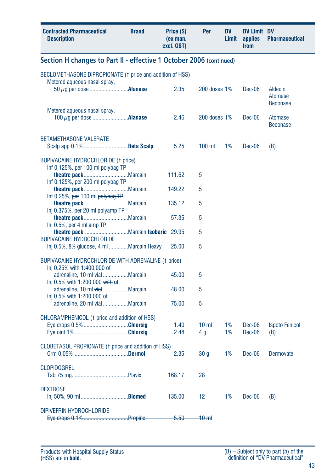| <b>Contracted Pharmaceutical</b><br><b>Description</b>                              | <b>Brand</b> | Price (\$)<br>(ex man.<br>excl. GST) | Per                    | <b>DV</b><br>Limit | <b>DV Limit DV</b><br>applies<br>from | <b>Pharmaceutical</b>                 |  |  |  |
|-------------------------------------------------------------------------------------|--------------|--------------------------------------|------------------------|--------------------|---------------------------------------|---------------------------------------|--|--|--|
| Section H changes to Part II - effective 1 October 2006 (continued)                 |              |                                      |                        |                    |                                       |                                       |  |  |  |
| BECLOMETHASONE DIPROPIONATE (1 price and addition of HSS)                           |              |                                      |                        |                    |                                       |                                       |  |  |  |
| Metered aqueous nasal spray,                                                        |              | 2.35                                 | 200 doses 1%           |                    | Dec-06                                | Aldecin<br>Atomase<br><b>Beconase</b> |  |  |  |
| Metered aqueous nasal spray,<br>100 $\mu$ q per dose <b>Alanase</b>                 |              | 2.46                                 | 200 doses 1%           |                    | Dec-06                                | Atomase<br><b>Beconase</b>            |  |  |  |
| <b>BETAMETHASONE VALERATE</b>                                                       |              | 5.25                                 | $100$ ml               | 1%                 | Dec-06                                | (B)                                   |  |  |  |
| <b>BUPIVACAINE HYDROCHLORIDE (1 price)</b><br>Inf $0.125\%$ , per 100 ml polybag TP |              |                                      |                        |                    |                                       |                                       |  |  |  |
| Inf 0.125%, per 200 ml polybag TP                                                   |              | 111.62                               | 5                      |                    |                                       |                                       |  |  |  |
| Inf 0.25%, per 100 ml polybag TP                                                    |              | 149.22                               | 5                      |                    |                                       |                                       |  |  |  |
|                                                                                     |              | 135.12                               | 5                      |                    |                                       |                                       |  |  |  |
| Inj 0.375%, per 20 ml polyamp TP<br>Inj 0.5%, per 4 ml amp TP                       |              | 57.35                                | 5                      |                    |                                       |                                       |  |  |  |
| theatre pack Marcain Isobaric 29.95                                                 |              |                                      | 5                      |                    |                                       |                                       |  |  |  |
| <b>BUPIVACAINE HYDROCHLORIDE</b><br>Inj 0.5%, 8% glucose, 4 ml Marcain Heavy        |              | 25.00                                | 5                      |                    |                                       |                                       |  |  |  |
| BUPIVACAINE HYDROCHLORIDE WITH ADRENALINE (1 price)<br>Inj 0.25% with 1:400,000 of  |              |                                      |                        |                    |                                       |                                       |  |  |  |
| adrenaline, 10 ml vialMarcain<br>Inj 0.5% with 1:200,000 with of                    |              | 45.00                                | 5                      |                    |                                       |                                       |  |  |  |
| adrenaline, 10 ml vialMarcain<br>Inj 0.5% with 1:200,000 of                         |              | 48.00                                | 5                      |                    |                                       |                                       |  |  |  |
| adrenaline, 20 ml vialMarcain                                                       |              | 75.00                                | 5                      |                    |                                       |                                       |  |  |  |
| CHLORAMPHENICOL (1 price and addition of HSS)<br>Eye drops 0.5% Chlorsig            |              | 1.40<br>2.48                         | 10 <sub>m</sub><br>4 g | 1%<br>1%           | Dec-06<br>Dec-06                      | <b>Ispoto Fenicol</b><br>(B)          |  |  |  |
| CLOBETASOL PROPIONATE (1 price and addition of HSS)                                 |              | 2.35                                 | 30 <sub>g</sub>        | 1%                 | $Dec-06$                              | Dermovate                             |  |  |  |
| <b>CLOPIDOGREL</b>                                                                  |              | 168.17                               | 28                     |                    |                                       |                                       |  |  |  |
| <b>DEXTROSE</b><br>Inj 50%, 90 mlBiomed                                             |              | 135.00                               | 12                     | 1%                 | Dec-06                                | (B)                                   |  |  |  |
| <b>DIPIVEFRIN HYDROCHLORIDE</b>                                                     |              | $-5.50-$                             | <del>10 ml</del>       |                    |                                       |                                       |  |  |  |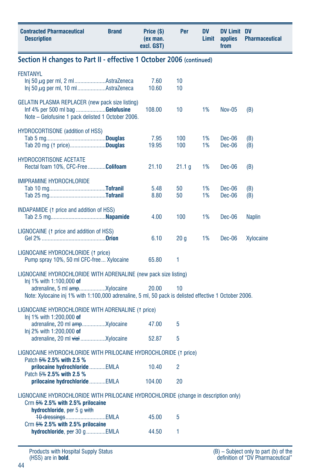| <b>Contracted Pharmaceutical</b><br><b>Description</b>                                                                                                    | <b>Brand</b> | Price (\$)<br>(ex man.<br>excl. GST) | Per             | <b>DV</b><br>Limit | <b>DV Limit DV</b><br>applies<br>from | <b>Pharmaceutical</b> |
|-----------------------------------------------------------------------------------------------------------------------------------------------------------|--------------|--------------------------------------|-----------------|--------------------|---------------------------------------|-----------------------|
| Section H changes to Part II - effective 1 October 2006 (continued)                                                                                       |              |                                      |                 |                    |                                       |                       |
| <b>FENTANYL</b><br>Inj 50 $\mu$ g per ml, 2 mlAstraZeneca                                                                                                 |              | 7.60<br>10.60                        | 10<br>10        |                    |                                       |                       |
| GELATIN PLASMA REPLACER (new pack size listing)<br>Inf 4% per 500 ml bag Gelofusine<br>Note - Gelofusine 1 pack delisted 1 October 2006.                  |              | 108.00                               | 10              | 1%                 | Nov-05                                | (B)                   |
| HYDROCORTISONE (addition of HSS)<br>Tab 20 mg († price)Douglas                                                                                            |              | 7.95<br>19.95                        | 100<br>100      | 1%<br>1%           | Dec-06<br>Dec-06                      | (B)<br>(B)            |
| HYDROCORTISONE ACETATE<br>Rectal foam 10%, CFC-Free Colifoam                                                                                              |              | 21.10                                | 21.1 g          | 1%                 | Dec-06                                | (B)                   |
| IMIPRAMINE HYDROCHLORIDE                                                                                                                                  |              | 5.48<br>8.80                         | 50<br>50        | 1%<br>1%           | Dec-06<br>Dec-06                      | (B)<br>(B)            |
| INDAPAMIDE (1 price and addition of HSS)                                                                                                                  |              | 4.00                                 | 100             | 1%                 | Dec-06                                | <b>Naplin</b>         |
| LIGNOCAINE (1 price and addition of HSS)                                                                                                                  |              | 6.10                                 | 20 <sub>g</sub> | 1%                 | Dec-06                                | Xylocaine             |
| LIGNOCAINE HYDROCHLORIDE (1 price)<br>Pump spray 10%, 50 ml CFC-free Xylocaine                                                                            |              | 65.80                                | 1               |                    |                                       |                       |
| LIGNOCAINE HYDROCHLORIDE WITH ADRENALINE (new pack size listing)<br>Inj 1% with 1:100,000 of                                                              |              |                                      |                 |                    |                                       |                       |
| Note: Xylocaine inj 1% with 1:100,000 adrenaline, 5 ml, 50 pack is delisted effective 1 October 2006.                                                     |              | 20.00                                | 10              |                    |                                       |                       |
| LIGNOCAINE HYDROCHLORIDE WITH ADRENALINE (1 price)                                                                                                        |              |                                      |                 |                    |                                       |                       |
| Inj 1% with 1:200,000 of                                                                                                                                  |              | 47.00                                | 5               |                    |                                       |                       |
| Inj 2% with 1:200,000 of                                                                                                                                  |              | 52.87                                | 5               |                    |                                       |                       |
| LIGNOCAINE HYDROCHLORIDE WITH PRILOCAINE HYDROCHLORIDE (1 price)<br>Patch 5% 2.5% with 2.5 %                                                              |              |                                      |                 |                    |                                       |                       |
| prilocaine hydrochloride EMLA<br>Patch 5% 2.5% with 2.5 %                                                                                                 |              | 10.40                                | 2               |                    |                                       |                       |
| prilocaine hydrochloride EMLA                                                                                                                             |              | 104.00                               | 20              |                    |                                       |                       |
| LIGNOCAINE HYDROCHLORIDE WITH PRILOCAINE HYDROCHLORIDE (change in description only)<br>Crm $5\%$ 2.5% with 2.5% prilocaine<br>hydrochloride, per 5 g with |              |                                      |                 |                    |                                       |                       |
| 10 dressingsEMLA<br>Crm $5\%$ 2.5% with 2.5% prilocaine                                                                                                   |              | 45.00                                | 5               |                    |                                       |                       |
| hydrochloride, per 30 g EMLA                                                                                                                              |              | 44.50                                | 1               |                    |                                       |                       |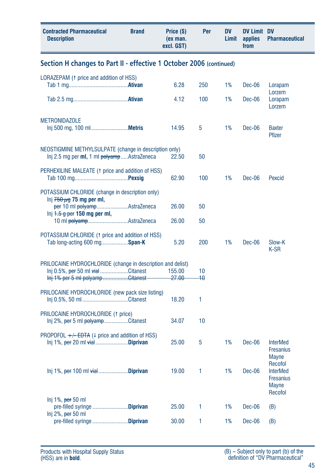| <b>Contracted Pharmaceutical</b><br><b>Brand</b><br><b>Description</b>                                                             | Price (\$)<br>(ex man.<br>excl. GST) | Per                   | <b>DV</b><br>Limit | <b>DV Limit DV</b><br>applies<br>from | <b>Pharmaceutical</b>                                                                     |
|------------------------------------------------------------------------------------------------------------------------------------|--------------------------------------|-----------------------|--------------------|---------------------------------------|-------------------------------------------------------------------------------------------|
| Section H changes to Part II - effective 1 October 2006 (continued)                                                                |                                      |                       |                    |                                       |                                                                                           |
| LORAZEPAM (1 price and addition of HSS)                                                                                            | 6.28                                 | 250                   | 1%                 | Dec-06                                | Lorapam<br>Lorzem                                                                         |
|                                                                                                                                    | 4.12                                 | 100                   | 1%                 | Dec-06                                | Lorapam<br>Lorzem                                                                         |
| <b>METRONIDAZOLE</b>                                                                                                               | 14.95                                | 5                     | 1%                 | Dec-06                                | <b>Baxter</b><br>Pfizer                                                                   |
| NEOSTIGMINE METHYLSULPATE (change in description only)<br>Inj 2.5 mg per ml, 1 ml polyamp  AstraZeneca                             | 22.50                                | 50                    |                    |                                       |                                                                                           |
| PERHEXILINE MALEATE (1 price and addition of HSS)                                                                                  | 62.90                                | 100                   | 1%                 | Dec-06                                | Pexcid                                                                                    |
| POTASSIUM CHLORIDE (change in description only)<br>lnj $750 \mu$ g 75 mg per ml,<br>per 10 ml polyampAstraZeneca                   | 26.00                                | 50                    |                    |                                       |                                                                                           |
| Inj $4.5$ g per 150 mg per ml,<br>10 ml polyampAstraZeneca                                                                         | 26.00                                | 50                    |                    |                                       |                                                                                           |
| POTASSIUM CHLORIDE (1 price and addition of HSS)<br>Tab long-acting 600 mgSpan-K                                                   | 5.20                                 | 200                   | 1%                 | Dec-06                                | Slow-K<br>K-SR                                                                            |
| PRILOCAINE HYDROCHLORIDE (change in description and delist)<br>Inj 0.5%, per 50 ml vialCitanest<br>Inj 1% per 5 ml polyampCitanest | 155.00<br>$-27.00$                   | 10<br>$\overline{10}$ |                    |                                       |                                                                                           |
| PRILOCAINE HYDROCHLORIDE (new pack size listing)<br>Inj 0.5%, 50 mlCitanest                                                        | 18.20                                | 1                     |                    |                                       |                                                                                           |
| PRILOCAINE HYDROCHLORIDE (1 price)<br>Inj 2%, per 5 ml polyamp Citanest                                                            | 34.07                                | 10                    |                    |                                       |                                                                                           |
| PROPOFOL $+\sqrt{-EDTA}$ (4 price and addition of HSS)<br>$Inj 1\%$ , per 20 ml $vial$ Diprivan                                    | 25.00                                | 5                     | 1%                 | Dec-06                                | <b>InterMed</b><br><b>Fresanius</b>                                                       |
| $Inj 1\%$ , per 100 ml $\forall$ iał Diprivan                                                                                      | 19.00                                | 1                     | 1%                 | Dec-06                                | <b>Mayne</b><br>Recofol<br><b>InterMed</b><br><b>Fresanius</b><br><b>Mayne</b><br>Recofol |
| Inj $1\%$ , per 50 ml<br>pre-filled syringe Diprivan<br>Inj $2\%$ , per 50 ml                                                      | 25.00                                | 1                     | 1%                 | Dec-06                                | (B)                                                                                       |
| pre-filled syringe Diprivan                                                                                                        | 30.00                                | 1                     | 1%                 | Dec-06                                | (B)                                                                                       |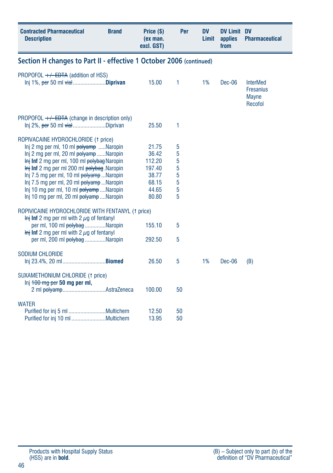| <b>Contracted Pharmaceutical</b><br><b>Description</b>                                                                                                                                                                                                                                                                                                                                                                  | <b>Brand</b> | Price (\$)<br>(ex man.<br>excl. GST)                                   | Per                                  | DV<br>Limit | <b>DV Limit DV</b><br>applies<br>from | <b>Pharmaceutical</b>                                          |
|-------------------------------------------------------------------------------------------------------------------------------------------------------------------------------------------------------------------------------------------------------------------------------------------------------------------------------------------------------------------------------------------------------------------------|--------------|------------------------------------------------------------------------|--------------------------------------|-------------|---------------------------------------|----------------------------------------------------------------|
| Section H changes to Part II - effective 1 October 2006 (continued)                                                                                                                                                                                                                                                                                                                                                     |              |                                                                        |                                      |             |                                       |                                                                |
| PROPOFOL $+/-$ EDTA (addition of HSS)<br>Inj 1%, per 50 ml vialDiprivan                                                                                                                                                                                                                                                                                                                                                 |              | 15.00                                                                  | 1                                    | 1%          | Dec-06                                | <b>InterMed</b><br><b>Fresanius</b><br><b>Mayne</b><br>Recofol |
| PROPOFOL $+\sqrt{-EDTA}$ (change in description only)<br>Inj 2%, per 50 ml vialDiprivan                                                                                                                                                                                                                                                                                                                                 |              | 25.50                                                                  | 1                                    |             |                                       |                                                                |
| ROPIVACAINE HYDROCHLORIDE (1 price)<br>Inj 2 mg per ml, 10 ml polyamp Naropin<br>Inj 2 mg per ml, 20 ml polyamp Naropin<br>Inj Inf 2 mg per ml, 100 ml polybag Naropin<br>$\frac{1}{2}$ inf 2 mg per ml 200 ml $\frac{1}{2}$ bolybag. Naropin<br>Inj 7.5 mg per ml, 10 ml polyampNaropin<br>Inj 7.5 mg per ml, 20 ml polyampNaropin<br>Inj 10 mg per ml, 10 ml polyampNaropin<br>Inj 10 mg per ml, 20 ml polyampNaropin |              | 21.75<br>36.42<br>112.20<br>197.40<br>38.77<br>68.15<br>44.65<br>80.80 | 5<br>5<br>5<br>5<br>5<br>5<br>5<br>5 |             |                                       |                                                                |
| ROPIVICAINE HYDROCHLORIDE WITH FENTANYL (1 price)<br>$\frac{1}{2}$ inf 2 mg per ml with 2 $\mu$ g of fentanyl<br>per ml, 100 ml polybag Naropin<br>$\frac{1}{2}$ inf 2 mg per ml with 2 $\mu$ g of fentanyl<br>per ml, 200 ml polybag Naropin                                                                                                                                                                           |              | 155.10<br>292.50                                                       | 5<br>5                               |             |                                       |                                                                |
| SODIUM CHLORIDE                                                                                                                                                                                                                                                                                                                                                                                                         |              | 26.50                                                                  | 5                                    | 1%          | Dec-06                                | (B)                                                            |
| SUXAMETHONIUM CHLORIDE (1 price)<br>$Inj$ $100$ mg per 50 mg per ml,<br>2 ml polyampAstraZeneca                                                                                                                                                                                                                                                                                                                         |              | 100.00                                                                 | 50                                   |             |                                       |                                                                |
| <b>WATER</b>                                                                                                                                                                                                                                                                                                                                                                                                            |              | 12.50<br>13.95                                                         | 50<br>50                             |             |                                       |                                                                |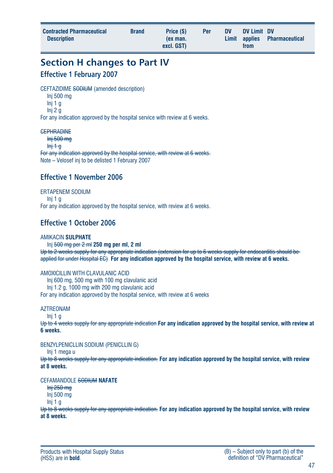| <b>Contracted Pharmaceutical</b><br><b>Description</b> | <b>Brand</b> | Price (\$)<br>(ex man.<br>excl. GST) | Per | <b>DV</b> | DV Limit DV<br>from | Limit applies Pharmaceutical |
|--------------------------------------------------------|--------------|--------------------------------------|-----|-----------|---------------------|------------------------------|
|                                                        |              |                                      |     |           |                     |                              |

**Section H changes to Part IV**

#### **Effective 1 February 2007**

CEFTAZIDIME SODIUM (amended description)

- Inj 500 mg Inj 1 g
- Inj 2 g

For any indication approved by the hospital service with review at 6 weeks.

#### **CEPHRADINE**

Inj 500 mg

 $\frac{1}{2}$ 

For any indication approved by the hospital service, with review at 6 weeks. Note – Velosef inj to be delisted 1 February 2007

#### **Effective 1 November 2006**

ERTAPENEM SODIUM Inj 1 g For any indication approved by the hospital service, with review at 6 weeks.

#### **Effective 1 October 2006**

#### AMIKACIN **SULPHATE**

Inj 500 mg per 2 ml **250 mg per ml, 2 ml** Up to 2 weeks supply for any appropriate indication (extension for up to 6 weeks supply for endocarditis should be applied for under Hospital EC) **For any indication approved by the hospital service, with review at 6 weeks.**

AMOXICILLIN WITH CLAVILLANIC ACID

Inj 600 mg, 500 mg with 100 mg clavulanic acid Inj 1.2 g, 1000 mg with 200 mg clavulanic acid

For any indication approved by the hospital service, with review at 6 weeks

#### AZTREONAM

 $Ini 1<sub>0</sub>$ 

Up to 4 weeks supply for any appropriate indication **For any indication approved by the hospital service, with review at 6 weeks.**

#### BENZYLPENICLLIN SODIUM (PENICLLIN G)

Inj 1 mega u

Up to 8 weeks supply for any appropriate indication. **For any indication approved by the hospital service, with review at 8 weeks.**

CEFAMANDOLE SODIUM **NAFATE**

Inj 250 mg

Inj 500 mg

Inj  $1<sub>0</sub>$ 

Up to 8 weeks supply for any appropriate indication. **For any indication approved by the hospital service, with review at 8 weeks.**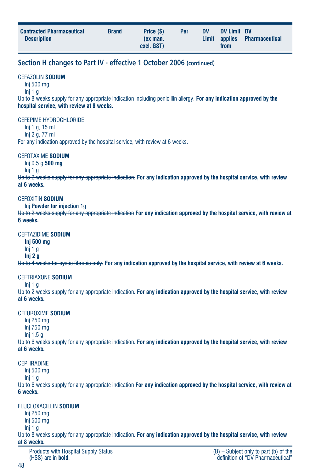#### **Section H changes to Part IV - effective 1 October 2006 (continued)**

#### CEFAZOLIN **SODIUM**

Inj 500 mg

 $Ini 1<sub>0</sub>$ 

Up to 8 weeks supply for any appropriate indication including penicillin allergy. **For any indication approved by the hospital service, with review at 8 weeks.**

#### CEFEPIME HYDROCHLORIDE

Inj 1 g, 15 ml Inj 2 g, 77 ml

For any indication approved by the hospital service, with review at 6 weeks.

#### CEFOTAXIME **SODIUM**

Inj 0.5 g **500 mg**

Inj 1 g

Up to 2 weeks supply for any appropriate indication. **For any indication approved by the hospital service, with review at 6 weeks.**

#### CEFOXITIN **SODIUM**

**Inj Powder for injection 1g** 

Up to 2 weeks supply for any appropriate indication **For any indication approved by the hospital service, with review at 6 weeks.**

#### CEFTAZIDIME **SODIUM**

**Inj 500 mg**

Inj 1 g

**Inj 2 g**

Up to 4 weeks for cystic fibrosis only. **For any indication approved by the hospital service, with review at 6 weeks.**

#### CEFTRIAXONE **SODIUM**

 $Ini 1<sub>0</sub>$ 

Up to 2 weeks supply for any appropriate indication. **For any indication approved by the hospital service, with review at 6 weeks.**

#### CEFUROXIME **SODIUM**

Inj 250 mg Inj 750 mg Inj 1.5 g

Up to 6 weeks supply for any appropriate indication. **For any indication approved by the hospital service, with review at 6 weeks.**

#### **CEPHRADINE**

Inj 500 mg

Inj 1 g

Up to 6 weeks supply for any appropriate indication **For any indication approved by the hospital service, with review at 6 weeks.**

#### FLUCLOXACILLIN **SODIUM**

Inj 250 mg

Inj 500 mg

Inj 1 g

Up to 8 weeks supply for any appropriate indication. **For any indication approved by the hospital service, with review at 8 weeks.**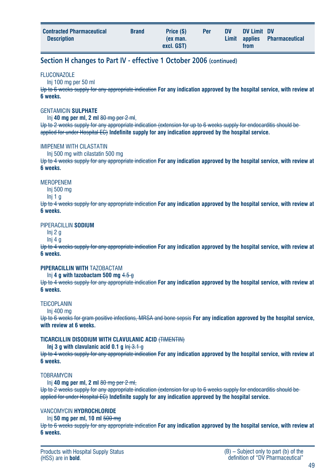| <b>Contracted Pharmaceutical</b><br><b>Description</b> | <b>Brand</b> | Price (\$)<br>(ex man.<br>excl. GST) | Per | <b>DV</b> | DV Limit DV<br>from | Limit applies Pharmaceutical |
|--------------------------------------------------------|--------------|--------------------------------------|-----|-----------|---------------------|------------------------------|
|                                                        |              |                                      |     |           |                     |                              |

#### **Section H changes to Part IV - effective 1 October 2006 (continued)**

#### **FLUCONAZOLE**

#### Inj 100 mg per 50 ml

Up to 6 weeks supply for any appropriate indication **For any indication approved by the hospital service, with review at 6 weeks.**

#### GENTAMICIN **SULPHATE**

Inj **40 mg per ml, 2 ml** 80 mg per 2 ml,

Up to 2 weeks supply for any appropriate indication (extension for up to 6 weeks supply for endocarditis should be applied for under Hospital EC) **Indefinite supply for any indication approved by the hospital service.**

#### IMIPENEM WITH CILASTATIN

Inj 500 mg with cilastatin 500 mg

Up to 4 weeks supply for any appropriate indication **For any indication approved by the hospital service, with review at 6 weeks.**

#### MEROPENEM

Inj 500 mg

Inj 1 g

Up to 4 weeks supply for any appropriate indication **For any indication approved by the hospital service, with review at 6 weeks.**

#### PIPERACILLIN **SODIUM**

Inj 2 g

#### Inj 4 g

Up to 4 weeks supply for any appropriate indication **For any indication approved by the hospital service, with review at 6 weeks.**

#### **PIPERACILLIN WITH** TAZOBACTAM

Inj **4 g with tazobactam 500 mg** 4.5 g

Up to 4 weeks supply for any appropriate indication **For any indication approved by the hospital service, with review at 6 weeks.**

#### **TEICOPLANIN**

Inj 400 mg

Up to 6 weeks for gram positive infections, MRSA and bone sepsis **For any indication approved by the hospital service, with review at 6 weeks.**

#### **TICARCILLIN DISODIUM WITH CLAVULANIC ACID** (TIMENTIN)

#### **Inj 3 g with clavulanic acid 0.1 g Inj 3.1 g**

Up to 4 weeks supply for any appropriate indication **For any indication approved by the hospital service, with review at 6 weeks.**

#### **TOBRAMYCIN**

Inj **40 mg per ml, 2 ml** 80 mg per 2 ml,

Up to 2 weeks supply for any appropriate indication (extension for up to 6 weeks supply for endocarditis should be applied for under Hospital EC) **Indefinite supply for any indication approved by the hospital service.**

#### VANCOMYCIN **HYDROCHLORIDE**

Inj **50 mg per ml, 10 ml** 500 mg

Up to 6 weeks supply for any appropriate indication **For any indication approved by the hospital service, with review at 6 weeks.**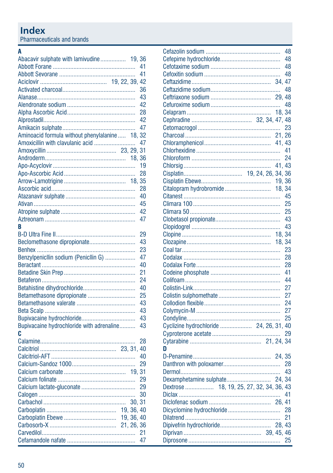| 41<br>36<br>43<br>42<br>28<br>42<br>47<br>Aminoacid formula without phenylalanine 18, 32<br>Amoxicillin with clavulanic acid<br>47<br>19<br>28<br>28<br>40<br>45<br>42<br>47<br>R<br>29<br>Beclomethasone dipropionate<br>43<br>23<br>Benzylpenicllin sodium (Penicllin G)<br>47<br>40<br>21<br>24<br>40<br>Betamethasone dipropionate<br>25<br>43<br>43<br>43<br>Bupivacaine hydrochloride with adrenaline<br>43<br>C<br>28<br>40<br>29<br>29<br>29<br>30<br>30, 31<br>19, 36, 40<br>19, 36, 40<br>21<br>47 | Abacavir sulphate with lamivudine 19, 36 | 41 |
|--------------------------------------------------------------------------------------------------------------------------------------------------------------------------------------------------------------------------------------------------------------------------------------------------------------------------------------------------------------------------------------------------------------------------------------------------------------------------------------------------------------|------------------------------------------|----|
|                                                                                                                                                                                                                                                                                                                                                                                                                                                                                                              |                                          |    |
|                                                                                                                                                                                                                                                                                                                                                                                                                                                                                                              |                                          |    |
|                                                                                                                                                                                                                                                                                                                                                                                                                                                                                                              |                                          |    |
|                                                                                                                                                                                                                                                                                                                                                                                                                                                                                                              |                                          |    |
|                                                                                                                                                                                                                                                                                                                                                                                                                                                                                                              |                                          |    |
|                                                                                                                                                                                                                                                                                                                                                                                                                                                                                                              |                                          |    |
|                                                                                                                                                                                                                                                                                                                                                                                                                                                                                                              |                                          |    |
|                                                                                                                                                                                                                                                                                                                                                                                                                                                                                                              |                                          |    |
|                                                                                                                                                                                                                                                                                                                                                                                                                                                                                                              |                                          |    |
|                                                                                                                                                                                                                                                                                                                                                                                                                                                                                                              |                                          |    |
|                                                                                                                                                                                                                                                                                                                                                                                                                                                                                                              |                                          |    |
|                                                                                                                                                                                                                                                                                                                                                                                                                                                                                                              |                                          |    |
|                                                                                                                                                                                                                                                                                                                                                                                                                                                                                                              |                                          |    |
|                                                                                                                                                                                                                                                                                                                                                                                                                                                                                                              |                                          |    |
|                                                                                                                                                                                                                                                                                                                                                                                                                                                                                                              |                                          |    |
|                                                                                                                                                                                                                                                                                                                                                                                                                                                                                                              |                                          |    |
|                                                                                                                                                                                                                                                                                                                                                                                                                                                                                                              |                                          |    |
|                                                                                                                                                                                                                                                                                                                                                                                                                                                                                                              |                                          |    |
|                                                                                                                                                                                                                                                                                                                                                                                                                                                                                                              |                                          |    |
|                                                                                                                                                                                                                                                                                                                                                                                                                                                                                                              |                                          |    |
|                                                                                                                                                                                                                                                                                                                                                                                                                                                                                                              |                                          |    |
|                                                                                                                                                                                                                                                                                                                                                                                                                                                                                                              |                                          |    |
|                                                                                                                                                                                                                                                                                                                                                                                                                                                                                                              |                                          |    |
|                                                                                                                                                                                                                                                                                                                                                                                                                                                                                                              |                                          |    |
|                                                                                                                                                                                                                                                                                                                                                                                                                                                                                                              |                                          |    |
|                                                                                                                                                                                                                                                                                                                                                                                                                                                                                                              |                                          |    |
|                                                                                                                                                                                                                                                                                                                                                                                                                                                                                                              |                                          |    |
|                                                                                                                                                                                                                                                                                                                                                                                                                                                                                                              |                                          |    |
|                                                                                                                                                                                                                                                                                                                                                                                                                                                                                                              |                                          |    |
|                                                                                                                                                                                                                                                                                                                                                                                                                                                                                                              |                                          |    |
|                                                                                                                                                                                                                                                                                                                                                                                                                                                                                                              |                                          |    |
|                                                                                                                                                                                                                                                                                                                                                                                                                                                                                                              |                                          |    |
|                                                                                                                                                                                                                                                                                                                                                                                                                                                                                                              |                                          |    |
|                                                                                                                                                                                                                                                                                                                                                                                                                                                                                                              |                                          |    |
|                                                                                                                                                                                                                                                                                                                                                                                                                                                                                                              |                                          |    |
|                                                                                                                                                                                                                                                                                                                                                                                                                                                                                                              |                                          |    |
|                                                                                                                                                                                                                                                                                                                                                                                                                                                                                                              |                                          |    |
|                                                                                                                                                                                                                                                                                                                                                                                                                                                                                                              |                                          |    |
|                                                                                                                                                                                                                                                                                                                                                                                                                                                                                                              |                                          |    |
|                                                                                                                                                                                                                                                                                                                                                                                                                                                                                                              |                                          |    |
|                                                                                                                                                                                                                                                                                                                                                                                                                                                                                                              |                                          |    |
|                                                                                                                                                                                                                                                                                                                                                                                                                                                                                                              |                                          |    |
|                                                                                                                                                                                                                                                                                                                                                                                                                                                                                                              |                                          |    |
|                                                                                                                                                                                                                                                                                                                                                                                                                                                                                                              |                                          |    |
|                                                                                                                                                                                                                                                                                                                                                                                                                                                                                                              |                                          |    |
|                                                                                                                                                                                                                                                                                                                                                                                                                                                                                                              |                                          |    |
|                                                                                                                                                                                                                                                                                                                                                                                                                                                                                                              |                                          |    |
|                                                                                                                                                                                                                                                                                                                                                                                                                                                                                                              |                                          |    |
|                                                                                                                                                                                                                                                                                                                                                                                                                                                                                                              |                                          |    |
|                                                                                                                                                                                                                                                                                                                                                                                                                                                                                                              |                                          |    |
|                                                                                                                                                                                                                                                                                                                                                                                                                                                                                                              |                                          |    |

|                                          |        | 48 |
|------------------------------------------|--------|----|
|                                          |        | 48 |
|                                          |        | 48 |
|                                          |        | 48 |
|                                          |        |    |
|                                          |        | 48 |
|                                          |        |    |
|                                          |        | 48 |
|                                          |        |    |
|                                          |        |    |
|                                          |        | 23 |
|                                          |        |    |
|                                          |        |    |
|                                          |        | 41 |
|                                          |        | 24 |
|                                          |        |    |
|                                          |        |    |
|                                          | 19, 36 |    |
|                                          |        |    |
|                                          |        | 45 |
|                                          |        | 25 |
|                                          |        | 25 |
|                                          |        |    |
|                                          |        | 43 |
|                                          | 18, 34 |    |
|                                          | 18, 34 |    |
|                                          |        | 23 |
|                                          |        | 28 |
|                                          |        | 28 |
|                                          |        | 41 |
|                                          |        | 44 |
|                                          |        | 27 |
|                                          |        | 27 |
|                                          |        | 24 |
|                                          |        | 27 |
|                                          |        | 25 |
| Cyclizine hydrochloride  24, 26, 31, 40  |        |    |
|                                          |        | 29 |
|                                          |        |    |
| D                                        |        |    |
|                                          |        |    |
|                                          |        | 28 |
|                                          |        | 43 |
|                                          |        |    |
| Dextrose  18, 19, 25, 27, 32, 34, 36, 43 |        |    |
|                                          |        | 41 |
|                                          |        |    |
|                                          |        |    |
|                                          |        | 21 |
|                                          |        |    |
|                                          |        |    |
|                                          |        | 25 |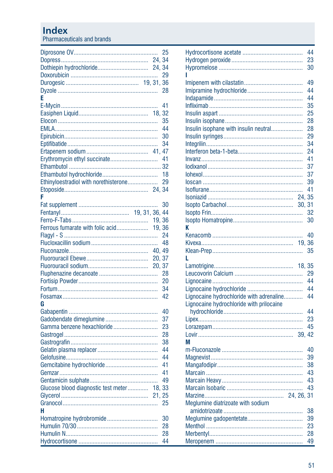|                                       | 25     |
|---------------------------------------|--------|
|                                       |        |
|                                       |        |
|                                       | 29     |
|                                       |        |
|                                       |        |
| E                                     |        |
|                                       | 41     |
|                                       |        |
|                                       | 35     |
|                                       | 44     |
|                                       | 30     |
|                                       | 34     |
|                                       |        |
|                                       | 41     |
|                                       |        |
|                                       | 18     |
| Ethinyloestradiol with norethisterone | 29     |
|                                       |        |
| F                                     |        |
|                                       | 30     |
|                                       |        |
|                                       |        |
| Ferrous fumarate with folic acid      | 19, 36 |
|                                       | 24     |
|                                       |        |
|                                       |        |
|                                       | 20, 37 |
|                                       |        |
|                                       |        |
|                                       | 20     |
|                                       | 34     |
|                                       | 42     |
| G                                     |        |
|                                       | 40     |
|                                       | 37     |
| Gamma benzene hexachloride            | 23     |
|                                       | 28     |
|                                       | 38     |
|                                       | 44     |
|                                       | 44     |
|                                       | 41     |
|                                       | 41     |
|                                       | 49     |
| Glucose blood diagnostic test meter   | 18.33  |
|                                       | 21, 25 |
|                                       |        |
|                                       | 25     |
| н                                     |        |
| Homatropine hydrobromide              | 30     |
|                                       | 28     |
|                                       | 28     |
|                                       | 44     |

|                                          | 44       |
|------------------------------------------|----------|
|                                          | 23       |
|                                          | 30       |
|                                          |          |
|                                          | 49       |
|                                          | 44       |
|                                          | 44       |
|                                          | 35       |
|                                          | 25       |
|                                          | 28       |
| Insulin isophane with insulin neutral    | 28       |
|                                          | 29       |
|                                          | 34       |
|                                          | 24<br>41 |
|                                          |          |
|                                          | 37<br>37 |
|                                          | 39       |
|                                          | 41       |
| 24.                                      | 35       |
| 30, 31                                   |          |
|                                          | 32       |
|                                          | 30       |
| K                                        |          |
|                                          | 40       |
| 19.36                                    |          |
|                                          | 35       |
| ı.                                       |          |
| 18, 35                                   |          |
|                                          | 29       |
|                                          | 44       |
|                                          | 44       |
| Lignocaine hydrochloride with adrenaline | 44       |
| Lignocaine hydrochloride with prilocaine |          |
|                                          | 44       |
|                                          | 23       |
|                                          | 45       |
|                                          |          |
| М                                        |          |
|                                          | 40       |
|                                          | 39       |
|                                          | 38       |
|                                          | 43       |
|                                          | 43       |
|                                          | 43       |
|                                          |          |
| Meglumine diatrizoate with sodium        |          |
|                                          | 38       |
|                                          | 39       |
|                                          | 23       |
|                                          | 28<br>49 |
|                                          |          |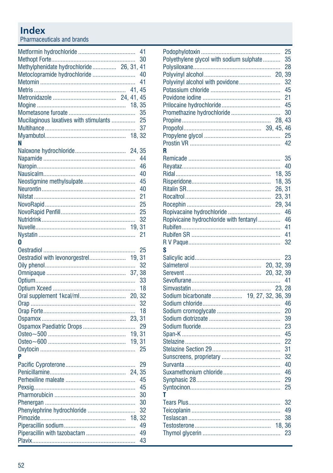|                                          |        | 41 |
|------------------------------------------|--------|----|
|                                          |        | 30 |
| Methylphenidate hydrochloride 26, 31, 41 |        |    |
| Metoclopramide hydrochloride             |        | 40 |
|                                          |        | 41 |
|                                          |        |    |
|                                          |        |    |
|                                          |        |    |
|                                          |        | 35 |
| Mucilaginous laxatives with stimulants   |        | 25 |
|                                          |        | 37 |
|                                          |        |    |
| N                                        |        |    |
|                                          |        |    |
|                                          |        | 44 |
|                                          |        |    |
|                                          |        | 46 |
|                                          |        | 40 |
| Neostigmine methylsulpate                |        | 45 |
|                                          |        | 40 |
|                                          |        | 21 |
|                                          |        | 25 |
|                                          |        | 25 |
|                                          |        | 32 |
|                                          | 19, 31 |    |
|                                          |        | 21 |
| 0                                        |        |    |
|                                          |        | 25 |
| Oestradiol with levonorgestrel 19, 31    |        |    |
|                                          |        | 32 |
|                                          |        |    |
|                                          |        | 33 |
|                                          |        | 18 |
|                                          |        |    |
|                                          |        | 32 |
|                                          |        | 18 |
|                                          |        |    |
|                                          |        | 29 |
|                                          | 19, 31 |    |
|                                          |        |    |
|                                          |        | 25 |
| P                                        |        |    |
|                                          |        | 29 |
|                                          |        |    |
|                                          |        |    |
|                                          |        | 45 |
|                                          |        | 45 |
|                                          |        | 30 |
|                                          |        | 30 |
| Phenylephrine hydrochloride              |        | 32 |
|                                          | 18, 32 |    |
|                                          |        | 49 |
| Piperacillin with tazobactam             |        | 49 |
|                                          |        | 43 |

| Polyethylene glycol with sodium sulphate<br>Polyvinyl alcohol with povidone<br>Promethazine hydrochloride | 20.                                           | 25<br>35<br>28<br>39<br>32<br>45<br>21<br>45<br>30<br>25<br>42 |
|-----------------------------------------------------------------------------------------------------------|-----------------------------------------------|----------------------------------------------------------------|
| R<br>Ropivicaine hydrochloride with fentanyl<br>S                                                         | 18.35<br>18, 35<br>26, 31<br>23, 31<br>29, 34 | 35<br>40<br>46<br>46<br>41<br>41<br>32                         |
|                                                                                                           | 20.32.                                        | 23<br>39<br>41<br>20<br>39<br>23                               |
| т                                                                                                         |                                               | 45<br>22<br>31<br>32<br>40<br>46<br>29<br>25                   |
|                                                                                                           | 18,                                           | 32<br>49<br>38<br>36<br>23                                     |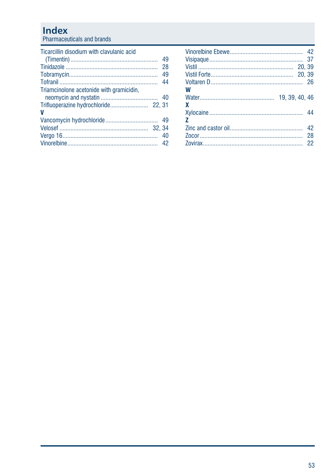| Ticarcillin disodium with clavulanic acid |     |
|-------------------------------------------|-----|
|                                           |     |
|                                           | 28  |
|                                           | 49  |
|                                           | -44 |
| Triamcinolone acetonide with gramicidin,  |     |
|                                           |     |
| v                                         |     |
|                                           |     |
|                                           |     |
|                                           |     |
|                                           |     |

| W              |  |
|----------------|--|
|                |  |
| X              |  |
|                |  |
| $\overline{ }$ |  |
|                |  |
|                |  |
|                |  |